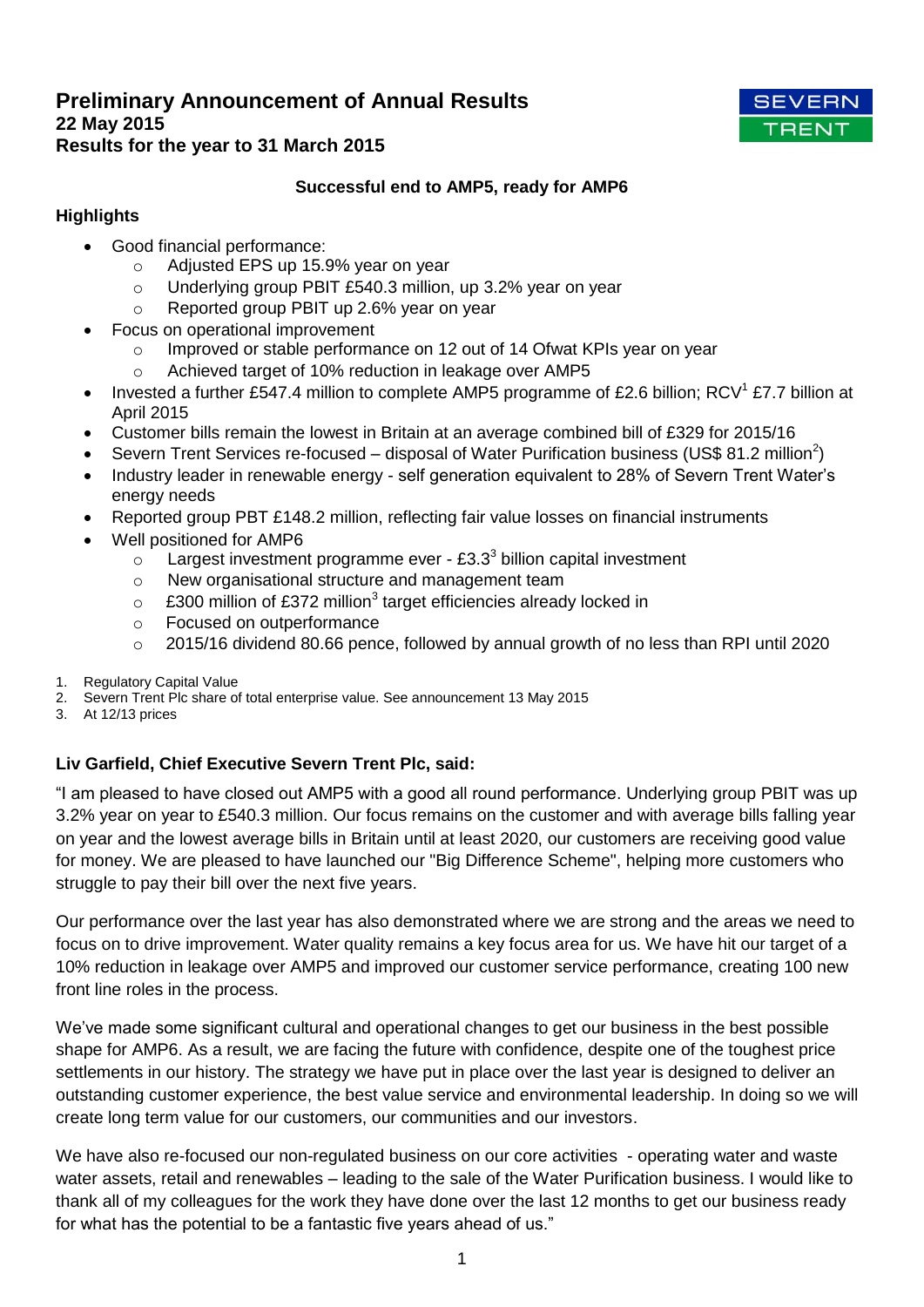# **Preliminary Announcement of Annual Results 22 May 2015 Results for the year to 31 March 2015**



# **Successful end to AMP5, ready for AMP6**

# **Highlights**

- Good financial performance:
	- o Adjusted EPS up 15.9% year on year
	- o Underlying group PBIT £540.3 million, up 3.2% year on year
	- o Reported group PBIT up 2.6% year on year
- Focus on operational improvement
	- o Improved or stable performance on 12 out of 14 Ofwat KPIs year on year
	- o Achieved target of 10% reduction in leakage over AMP5
- Invested a further £547.4 million to complete AMP5 programme of £2.6 billion; RCV<sup>1</sup> £7.7 billion at April 2015
- Customer bills remain the lowest in Britain at an average combined bill of £329 for 2015/16
- Severn Trent Services re-focused disposal of Water Purification business (US\$ 81.2 million<sup>2</sup>)
- Industry leader in renewable energy self generation equivalent to 28% of Severn Trent Water's energy needs
- Reported group PBT £148.2 million, reflecting fair value losses on financial instruments
- Well positioned for AMP6
	- $\circ$  Largest investment programme ever £3.3<sup>3</sup> billion capital investment
	- o New organisational structure and management team
	- $\circ$  £300 million of £372 million<sup>3</sup> target efficiencies already locked in
	- o Focused on outperformance
	- $\circ$  2015/16 dividend 80.66 pence, followed by annual growth of no less than RPI until 2020
- 1. Regulatory Capital Value
- 2. Severn Trent Plc share of total enterprise value. See announcement 13 May 2015
- 3. At 12/13 prices

# **Liv Garfield, Chief Executive Severn Trent Plc, said:**

"I am pleased to have closed out AMP5 with a good all round performance. Underlying group PBIT was up 3.2% year on year to £540.3 million. Our focus remains on the customer and with average bills falling year on year and the lowest average bills in Britain until at least 2020, our customers are receiving good value for money. We are pleased to have launched our "Big Difference Scheme", helping more customers who struggle to pay their bill over the next five years.

Our performance over the last year has also demonstrated where we are strong and the areas we need to focus on to drive improvement. Water quality remains a key focus area for us. We have hit our target of a 10% reduction in leakage over AMP5 and improved our customer service performance, creating 100 new front line roles in the process.

We've made some significant cultural and operational changes to get our business in the best possible shape for AMP6. As a result, we are facing the future with confidence, despite one of the toughest price settlements in our history. The strategy we have put in place over the last year is designed to deliver an outstanding customer experience, the best value service and environmental leadership. In doing so we will create long term value for our customers, our communities and our investors.

We have also re-focused our non-regulated business on our core activities - operating water and waste water assets, retail and renewables – leading to the sale of the Water Purification business. I would like to thank all of my colleagues for the work they have done over the last 12 months to get our business ready for what has the potential to be a fantastic five years ahead of us."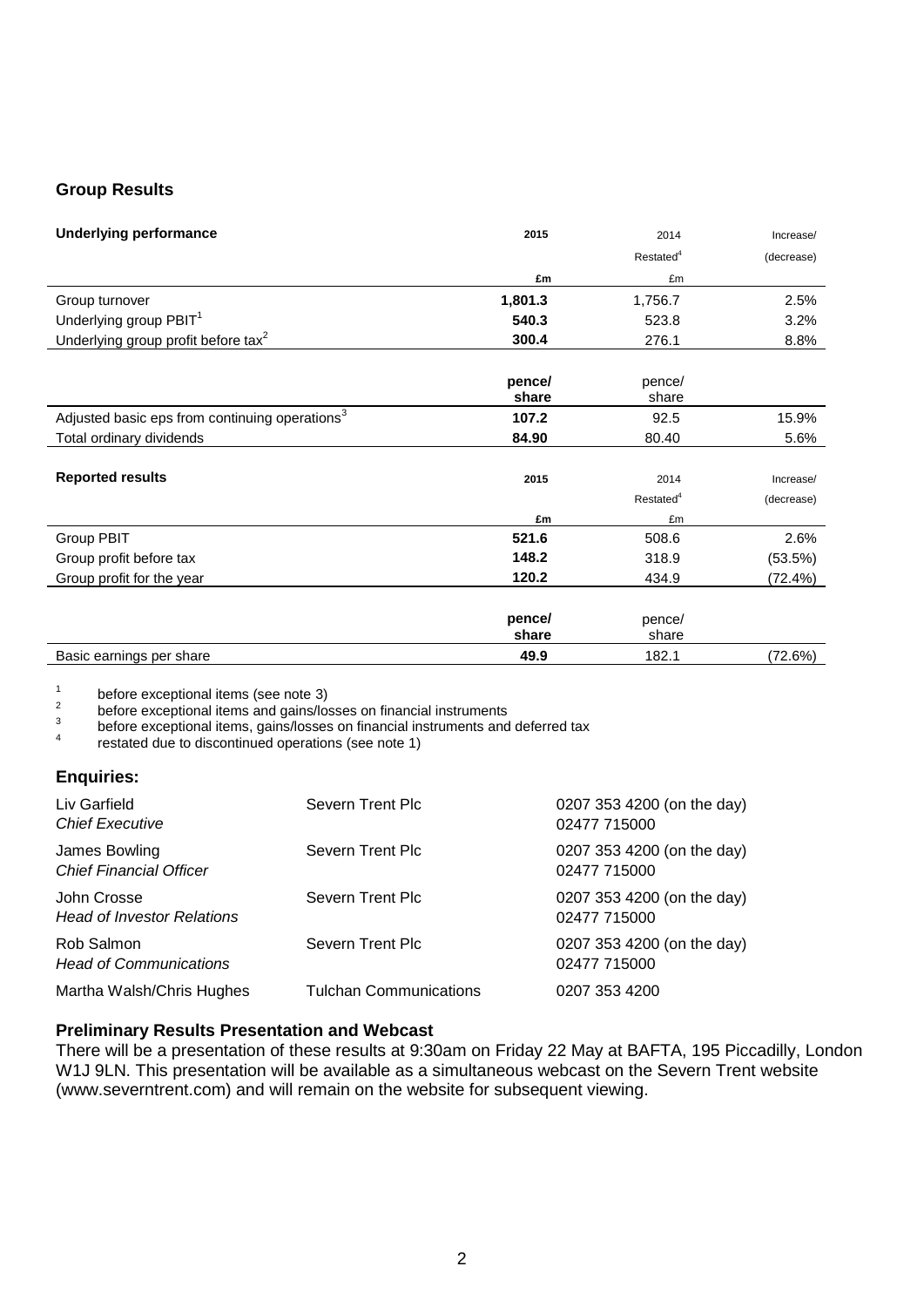## **Group Results**

| <b>Underlying performance</b>                   | 2015    | 2014                  | Increase/  |
|-------------------------------------------------|---------|-----------------------|------------|
|                                                 |         | Restated <sup>4</sup> | (decrease) |
|                                                 | £m      | £m                    |            |
| Group turnover                                  | 1,801.3 | 1,756.7               | 2.5%       |
| Underlying group PBIT <sup>1</sup>              | 540.3   | 523.8                 | 3.2%       |
| Underlying group profit before tax <sup>2</sup> | 300.4   | 276.1                 | 8.8%       |

|                                                            | pence/<br>share | pence/<br>share       |            |
|------------------------------------------------------------|-----------------|-----------------------|------------|
| Adjusted basic eps from continuing operations <sup>3</sup> | 107.2           | 92.5                  | 15.9%      |
| Total ordinary dividends                                   | 84.90           | 80.40                 | 5.6%       |
| <b>Reported results</b>                                    | 2015            | 2014                  | Increase/  |
|                                                            |                 | Restated <sup>4</sup> | (decrease) |
|                                                            | £m              | £m                    |            |
| Group PBIT                                                 | 521.6           | 508.6                 | 2.6%       |
| Group profit before tax                                    | 148.2           | 318.9                 | (53.5%)    |
| Group profit for the year                                  | 120.2           | 434.9                 | (72.4%)    |
|                                                            | pence/<br>share | pence/<br>share       |            |
| Basic earnings per share                                   | 49.9            | 182.1                 | (72.6%)    |

1 before exceptional items (see note 3)

2 before exceptional items and gains/losses on financial instruments

3 before exceptional items, gains/losses on financial instruments and deferred tax

4 restated due to discontinued operations (see note 1)

## **Enquiries:**

| Liv Garfield<br><b>Chief Executive</b>           | Severn Trent Plc              | 0207 353 4200 (on the day)<br>02477 715000 |
|--------------------------------------------------|-------------------------------|--------------------------------------------|
| James Bowling<br><b>Chief Financial Officer</b>  | Severn Trent Plc              | 0207 353 4200 (on the day)<br>02477 715000 |
| John Crosse<br><b>Head of Investor Relations</b> | Severn Trent Plc              | 0207 353 4200 (on the day)<br>02477 715000 |
| Rob Salmon<br><b>Head of Communications</b>      | Severn Trent Plc              | 0207 353 4200 (on the day)<br>02477 715000 |
| Martha Walsh/Chris Hughes                        | <b>Tulchan Communications</b> | 0207 353 4200                              |

## **Preliminary Results Presentation and Webcast**

There will be a presentation of these results at 9:30am on Friday 22 May at BAFTA, 195 Piccadilly, London W1J 9LN. This presentation will be available as a simultaneous webcast on the Severn Trent website (www.severntrent.com) and will remain on the website for subsequent viewing.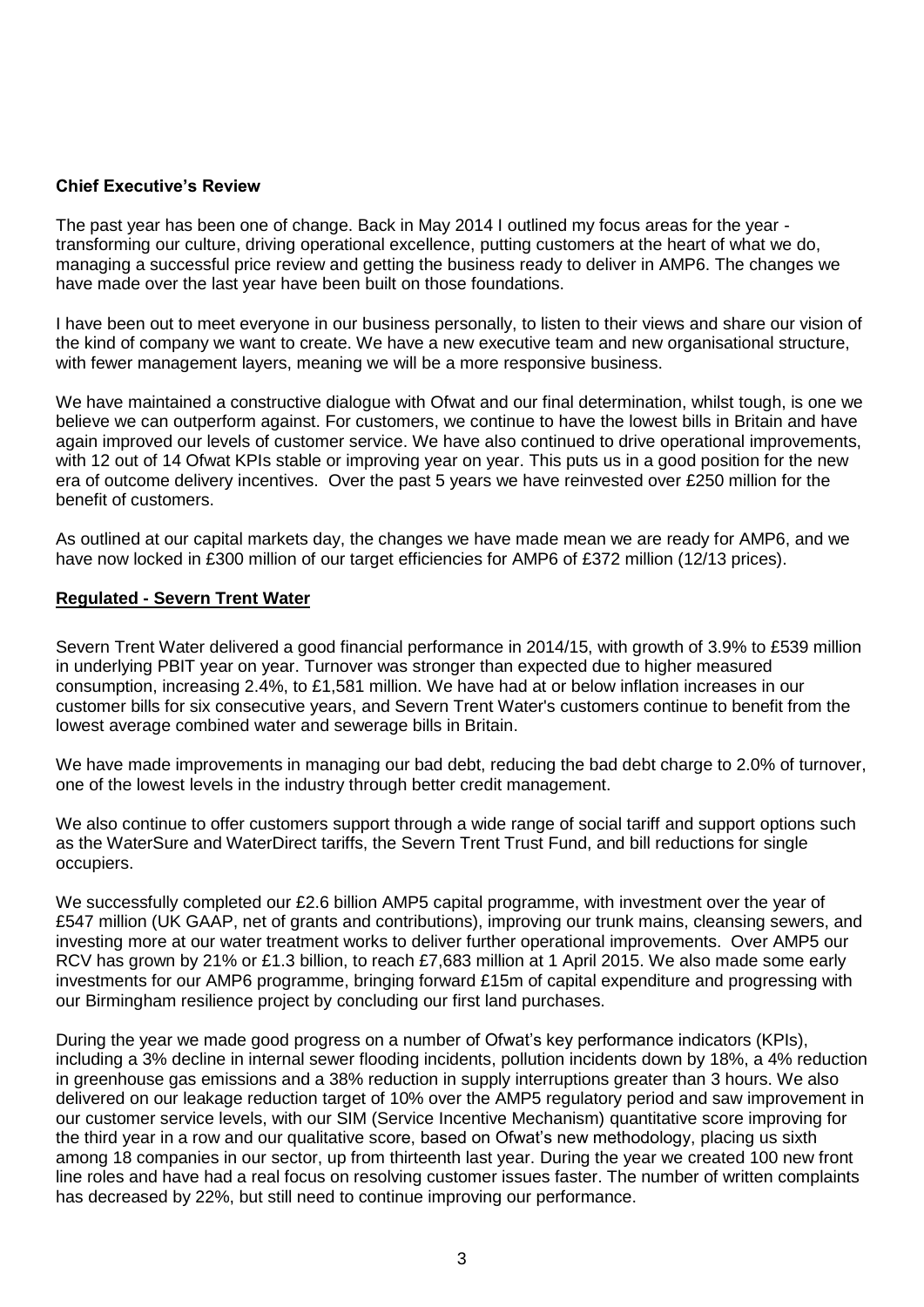## **Chief Executive's Review**

The past year has been one of change. Back in May 2014 I outlined my focus areas for the year transforming our culture, driving operational excellence, putting customers at the heart of what we do, managing a successful price review and getting the business ready to deliver in AMP6. The changes we have made over the last year have been built on those foundations.

I have been out to meet everyone in our business personally, to listen to their views and share our vision of the kind of company we want to create. We have a new executive team and new organisational structure, with fewer management layers, meaning we will be a more responsive business.

We have maintained a constructive dialogue with Ofwat and our final determination, whilst tough, is one we believe we can outperform against. For customers, we continue to have the lowest bills in Britain and have again improved our levels of customer service. We have also continued to drive operational improvements, with 12 out of 14 Ofwat KPIs stable or improving year on year. This puts us in a good position for the new era of outcome delivery incentives. Over the past 5 years we have reinvested over £250 million for the benefit of customers.

As outlined at our capital markets day, the changes we have made mean we are ready for AMP6, and we have now locked in £300 million of our target efficiencies for AMP6 of £372 million (12/13 prices).

## **Regulated - Severn Trent Water**

Severn Trent Water delivered a good financial performance in 2014/15, with growth of 3.9% to £539 million in underlying PBIT year on year. Turnover was stronger than expected due to higher measured consumption, increasing 2.4%, to £1,581 million. We have had at or below inflation increases in our customer bills for six consecutive years, and Severn Trent Water's customers continue to benefit from the lowest average combined water and sewerage bills in Britain.

We have made improvements in managing our bad debt, reducing the bad debt charge to 2.0% of turnover, one of the lowest levels in the industry through better credit management.

We also continue to offer customers support through a wide range of social tariff and support options such as the WaterSure and WaterDirect tariffs, the Severn Trent Trust Fund, and bill reductions for single occupiers.

We successfully completed our £2.6 billion AMP5 capital programme, with investment over the year of £547 million (UK GAAP, net of grants and contributions), improving our trunk mains, cleansing sewers, and investing more at our water treatment works to deliver further operational improvements. Over AMP5 our RCV has grown by 21% or £1.3 billion, to reach £7,683 million at 1 April 2015. We also made some early investments for our AMP6 programme, bringing forward £15m of capital expenditure and progressing with our Birmingham resilience project by concluding our first land purchases.

During the year we made good progress on a number of Ofwat's key performance indicators (KPIs), including a 3% decline in internal sewer flooding incidents, pollution incidents down by 18%, a 4% reduction in greenhouse gas emissions and a 38% reduction in supply interruptions greater than 3 hours. We also delivered on our leakage reduction target of 10% over the AMP5 regulatory period and saw improvement in our customer service levels, with our SIM (Service Incentive Mechanism) quantitative score improving for the third year in a row and our qualitative score, based on Ofwat's new methodology, placing us sixth among 18 companies in our sector, up from thirteenth last year. During the year we created 100 new front line roles and have had a real focus on resolving customer issues faster. The number of written complaints has decreased by 22%, but still need to continue improving our performance.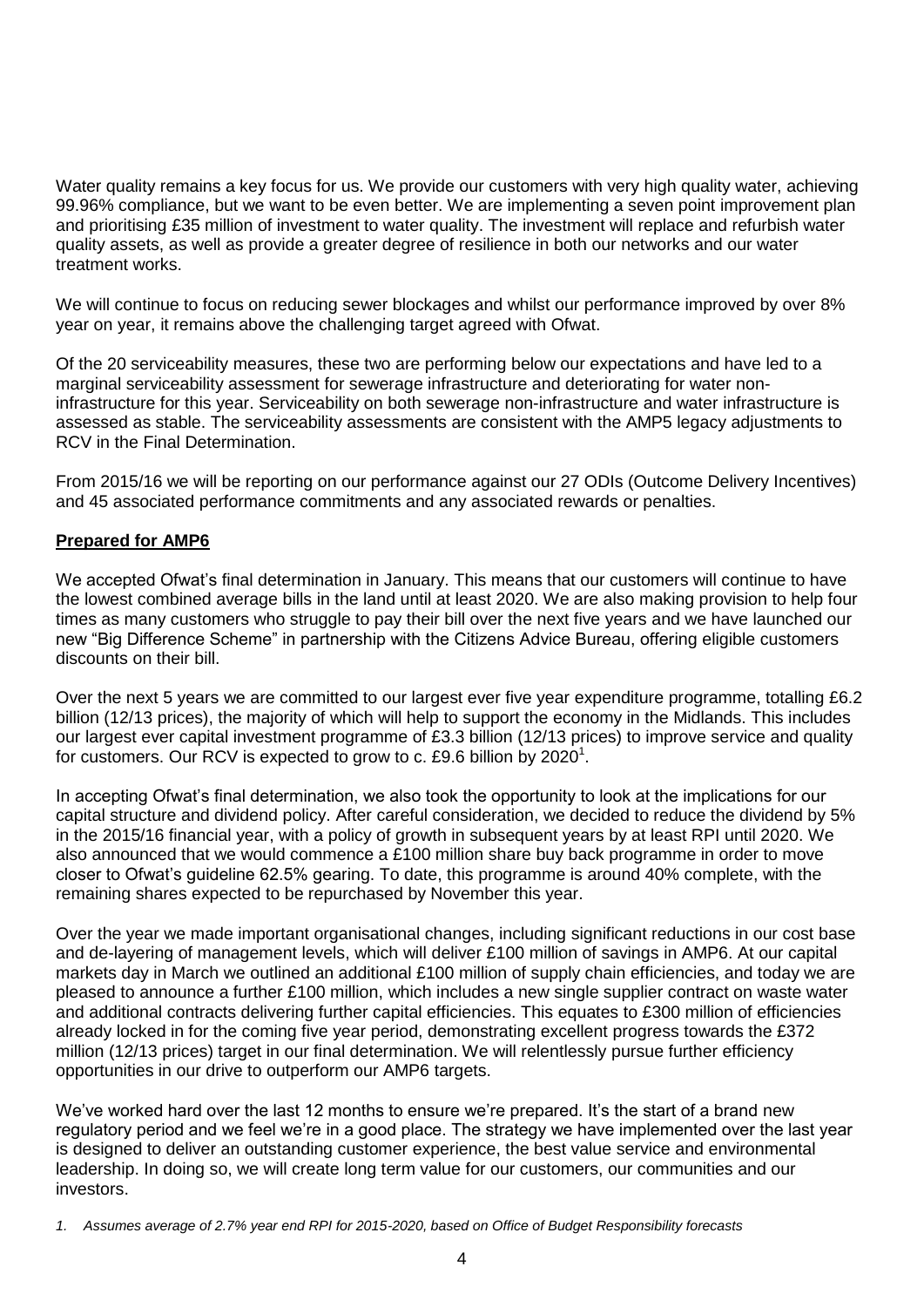Water quality remains a key focus for us. We provide our customers with very high quality water, achieving 99.96% compliance, but we want to be even better. We are implementing a seven point improvement plan and prioritising £35 million of investment to water quality. The investment will replace and refurbish water quality assets, as well as provide a greater degree of resilience in both our networks and our water treatment works.

We will continue to focus on reducing sewer blockages and whilst our performance improved by over 8% year on year, it remains above the challenging target agreed with Ofwat.

Of the 20 serviceability measures, these two are performing below our expectations and have led to a marginal serviceability assessment for sewerage infrastructure and deteriorating for water noninfrastructure for this year. Serviceability on both sewerage non-infrastructure and water infrastructure is assessed as stable. The serviceability assessments are consistent with the AMP5 legacy adjustments to RCV in the Final Determination.

From 2015/16 we will be reporting on our performance against our 27 ODIs (Outcome Delivery Incentives) and 45 associated performance commitments and any associated rewards or penalties.

## **Prepared for AMP6**

We accepted Ofwat's final determination in January. This means that our customers will continue to have the lowest combined average bills in the land until at least 2020. We are also making provision to help four times as many customers who struggle to pay their bill over the next five years and we have launched our new "Big Difference Scheme" in partnership with the Citizens Advice Bureau, offering eligible customers discounts on their bill.

Over the next 5 years we are committed to our largest ever five year expenditure programme, totalling £6.2 billion (12/13 prices), the majority of which will help to support the economy in the Midlands. This includes our largest ever capital investment programme of £3.3 billion (12/13 prices) to improve service and quality for customers. Our RCV is expected to grow to c. £9.6 billion by 2020<sup>1</sup>.

In accepting Ofwat's final determination, we also took the opportunity to look at the implications for our capital structure and dividend policy. After careful consideration, we decided to reduce the dividend by 5% in the 2015/16 financial year, with a policy of growth in subsequent years by at least RPI until 2020. We also announced that we would commence a £100 million share buy back programme in order to move closer to Ofwat's guideline 62.5% gearing. To date, this programme is around 40% complete, with the remaining shares expected to be repurchased by November this year.

Over the year we made important organisational changes, including significant reductions in our cost base and de-layering of management levels, which will deliver £100 million of savings in AMP6. At our capital markets day in March we outlined an additional £100 million of supply chain efficiencies, and today we are pleased to announce a further £100 million, which includes a new single supplier contract on waste water and additional contracts delivering further capital efficiencies. This equates to £300 million of efficiencies already locked in for the coming five year period, demonstrating excellent progress towards the £372 million (12/13 prices) target in our final determination. We will relentlessly pursue further efficiency opportunities in our drive to outperform our AMP6 targets.

We've worked hard over the last 12 months to ensure we're prepared. It's the start of a brand new regulatory period and we feel we're in a good place. The strategy we have implemented over the last year is designed to deliver an outstanding customer experience, the best value service and environmental leadership. In doing so, we will create long term value for our customers, our communities and our investors.

*<sup>1.</sup> Assumes average of 2.7% year end RPI for 2015-2020, based on Office of Budget Responsibility forecasts*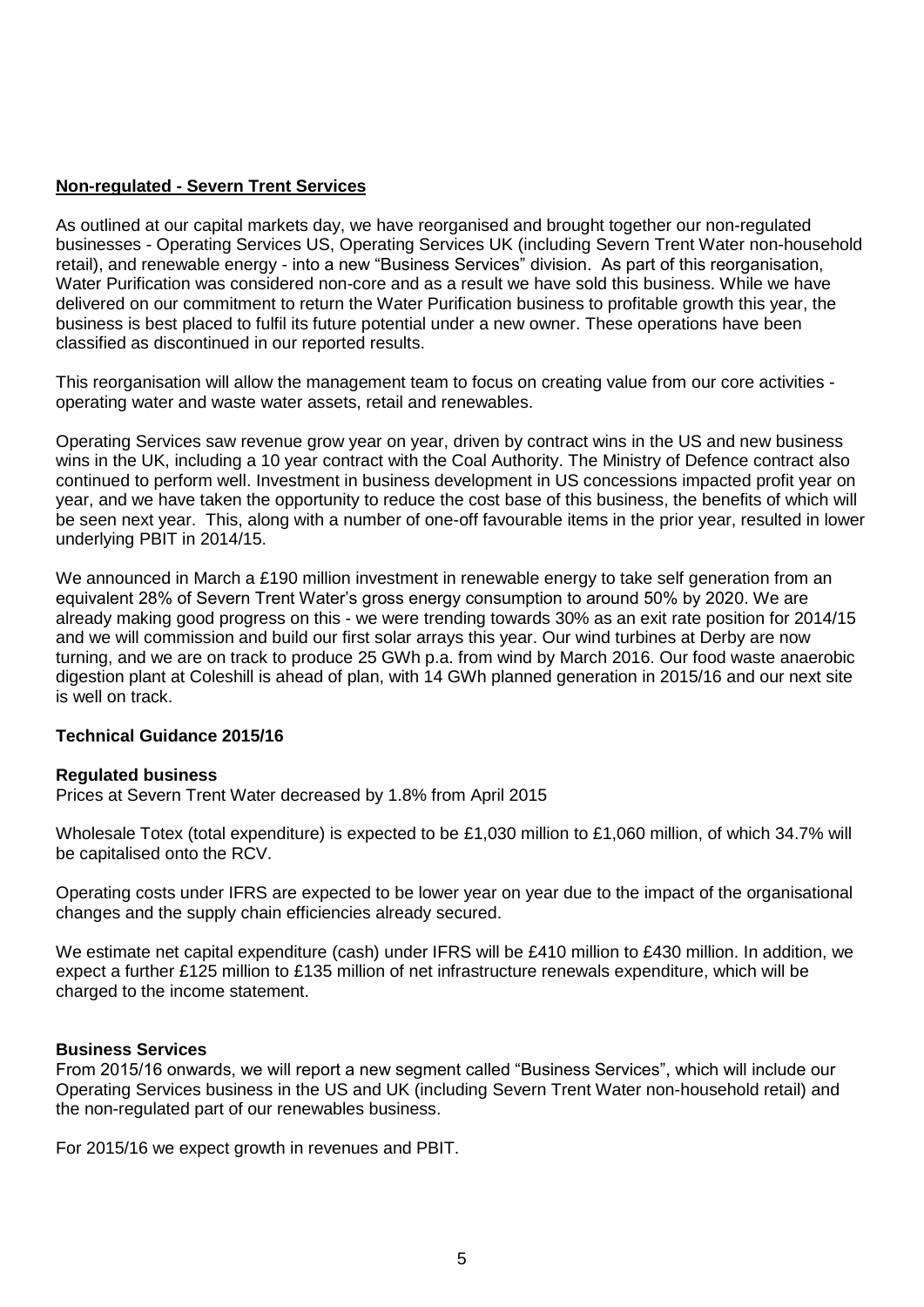## **Non-regulated - Severn Trent Services**

As outlined at our capital markets day, we have reorganised and brought together our non-regulated businesses - Operating Services US, Operating Services UK (including Severn Trent Water non-household retail), and renewable energy - into a new "Business Services" division. As part of this reorganisation, Water Purification was considered non-core and as a result we have sold this business. While we have delivered on our commitment to return the Water Purification business to profitable growth this year, the business is best placed to fulfil its future potential under a new owner. These operations have been classified as discontinued in our reported results.

This reorganisation will allow the management team to focus on creating value from our core activities operating water and waste water assets, retail and renewables.

Operating Services saw revenue grow year on year, driven by contract wins in the US and new business wins in the UK, including a 10 year contract with the Coal Authority. The Ministry of Defence contract also continued to perform well. Investment in business development in US concessions impacted profit year on year, and we have taken the opportunity to reduce the cost base of this business, the benefits of which will be seen next year. This, along with a number of one-off favourable items in the prior year, resulted in lower underlying PBIT in 2014/15.

We announced in March a £190 million investment in renewable energy to take self generation from an equivalent 28% of Severn Trent Water's gross energy consumption to around 50% by 2020. We are already making good progress on this - we were trending towards 30% as an exit rate position for 2014/15 and we will commission and build our first solar arrays this year. Our wind turbines at Derby are now turning, and we are on track to produce 25 GWh p.a. from wind by March 2016. Our food waste anaerobic digestion plant at Coleshill is ahead of plan, with 14 GWh planned generation in 2015/16 and our next site is well on track.

## **Technical Guidance 2015/16**

## **Regulated business**

Prices at Severn Trent Water decreased by 1.8% from April 2015

Wholesale Totex (total expenditure) is expected to be £1,030 million to £1,060 million, of which 34.7% will be capitalised onto the RCV.

Operating costs under IFRS are expected to be lower year on year due to the impact of the organisational changes and the supply chain efficiencies already secured.

We estimate net capital expenditure (cash) under IFRS will be £410 million to £430 million. In addition, we expect a further £125 million to £135 million of net infrastructure renewals expenditure, which will be charged to the income statement.

## **Business Services**

From 2015/16 onwards, we will report a new segment called "Business Services", which will include our Operating Services business in the US and UK (including Severn Trent Water non-household retail) and the non-regulated part of our renewables business.

For 2015/16 we expect growth in revenues and PBIT.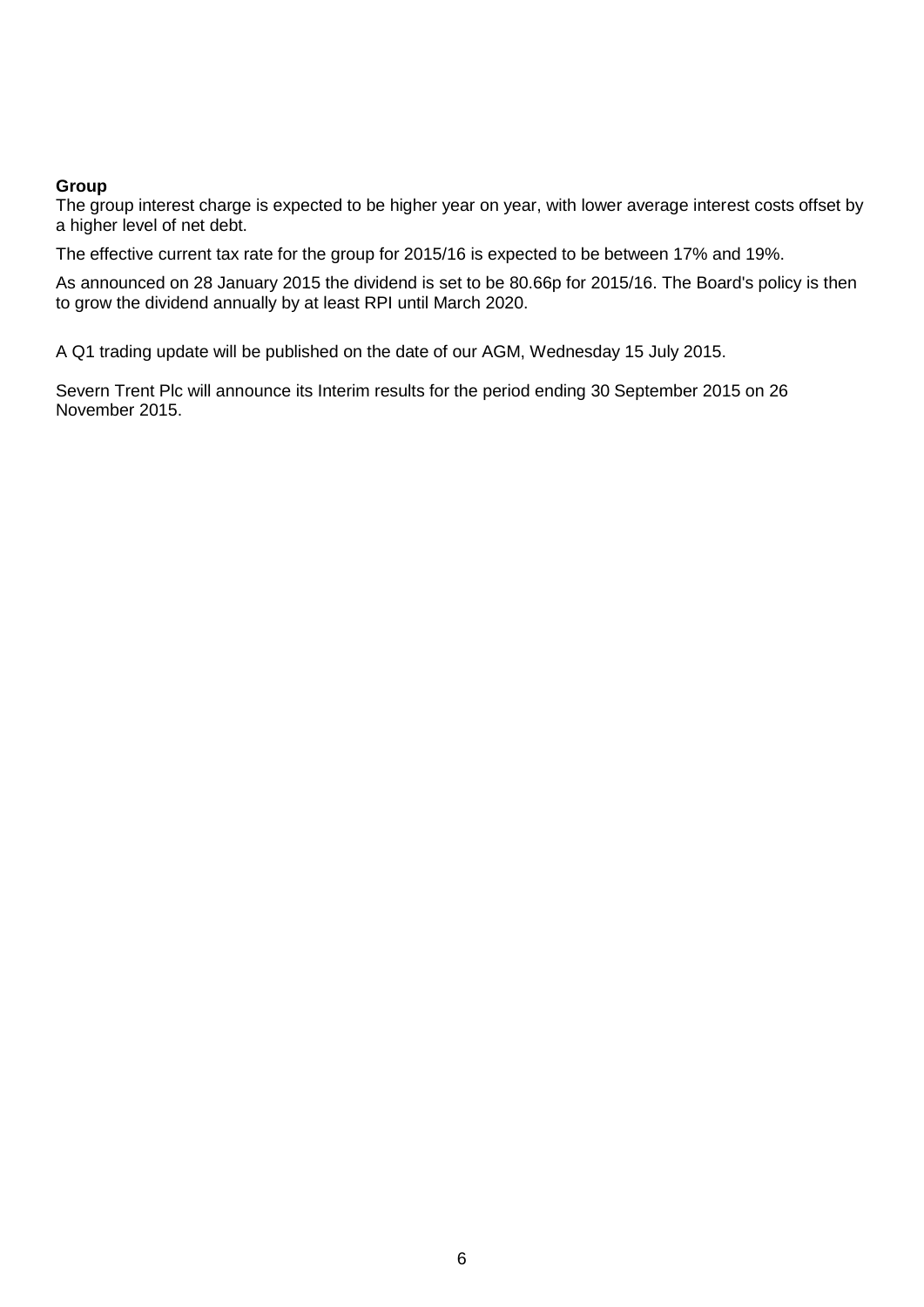## **Group**

The group interest charge is expected to be higher year on year, with lower average interest costs offset by a higher level of net debt.

The effective current tax rate for the group for 2015/16 is expected to be between 17% and 19%.

As announced on 28 January 2015 the dividend is set to be 80.66p for 2015/16. The Board's policy is then to grow the dividend annually by at least RPI until March 2020.

A Q1 trading update will be published on the date of our AGM, Wednesday 15 July 2015.

Severn Trent Plc will announce its Interim results for the period ending 30 September 2015 on 26 November 2015.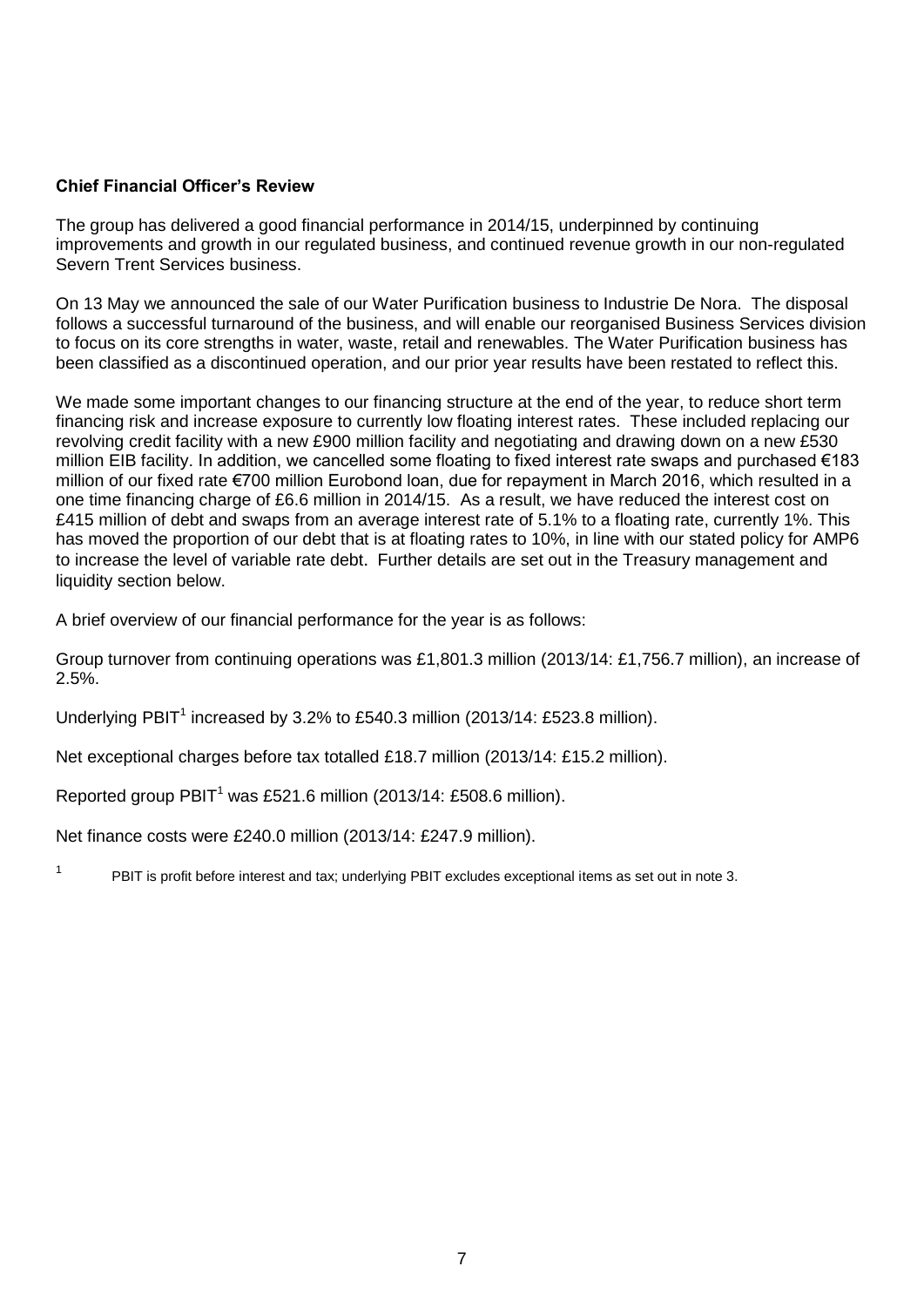# **Chief Financial Officer's Review**

The group has delivered a good financial performance in 2014/15, underpinned by continuing improvements and growth in our regulated business, and continued revenue growth in our non-regulated Severn Trent Services business.

On 13 May we announced the sale of our Water Purification business to Industrie De Nora. The disposal follows a successful turnaround of the business, and will enable our reorganised Business Services division to focus on its core strengths in water, waste, retail and renewables. The Water Purification business has been classified as a discontinued operation, and our prior year results have been restated to reflect this.

We made some important changes to our financing structure at the end of the year, to reduce short term financing risk and increase exposure to currently low floating interest rates. These included replacing our revolving credit facility with a new £900 million facility and negotiating and drawing down on a new £530 million EIB facility. In addition, we cancelled some floating to fixed interest rate swaps and purchased €183 million of our fixed rate €700 million Eurobond loan, due for repayment in March 2016, which resulted in a one time financing charge of £6.6 million in 2014/15. As a result, we have reduced the interest cost on £415 million of debt and swaps from an average interest rate of 5.1% to a floating rate, currently 1%. This has moved the proportion of our debt that is at floating rates to 10%, in line with our stated policy for AMP6 to increase the level of variable rate debt. Further details are set out in the Treasury management and liquidity section below.

A brief overview of our financial performance for the year is as follows:

Group turnover from continuing operations was £1,801.3 million (2013/14: £1,756.7 million), an increase of 2.5%.

Underlying PBIT<sup>1</sup> increased by 3.2% to £540.3 million (2013/14: £523.8 million).

Net exceptional charges before tax totalled £18.7 million (2013/14: £15.2 million).

Reported group  $PBIT<sup>1</sup>$  was £521.6 million (2013/14: £508.6 million).

Net finance costs were £240.0 million (2013/14: £247.9 million).

1 PBIT is profit before interest and tax; underlying PBIT excludes exceptional items as set out in note 3.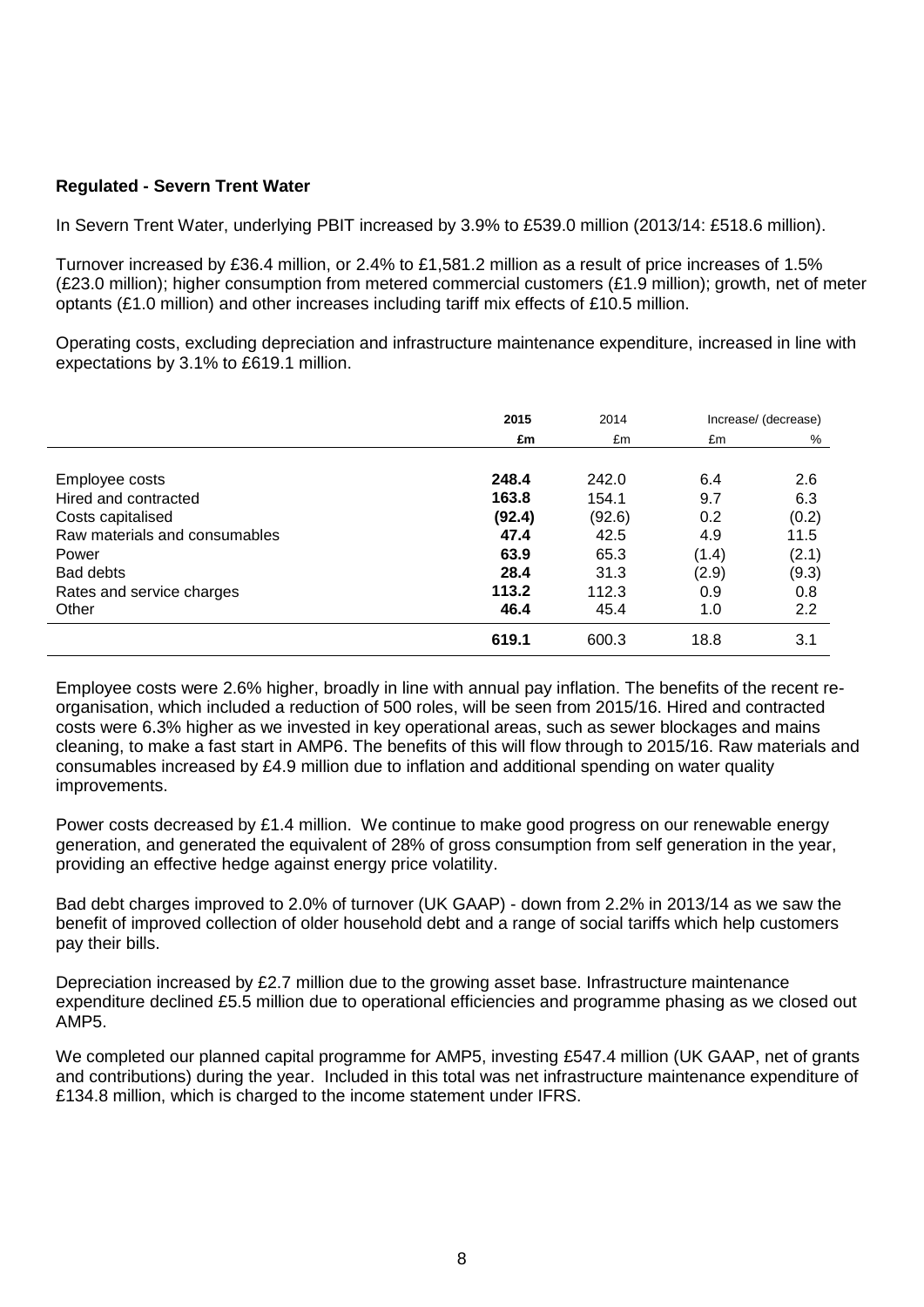## **Regulated - Severn Trent Water**

In Severn Trent Water, underlying PBIT increased by 3.9% to £539.0 million (2013/14: £518.6 million).

Turnover increased by £36.4 million, or 2.4% to £1,581.2 million as a result of price increases of 1.5% (£23.0 million); higher consumption from metered commercial customers (£1.9 million); growth, net of meter optants (£1.0 million) and other increases including tariff mix effects of £10.5 million.

Operating costs, excluding depreciation and infrastructure maintenance expenditure, increased in line with expectations by 3.1% to £619.1 million.

|                               | 2015   | 2014   |       | Increase/ (decrease) |
|-------------------------------|--------|--------|-------|----------------------|
|                               | £m     | £m     | £m    | %                    |
|                               |        |        |       |                      |
| Employee costs                | 248.4  | 242.0  | 6.4   | 2.6                  |
| Hired and contracted          | 163.8  | 154.1  | 9.7   | 6.3                  |
| Costs capitalised             | (92.4) | (92.6) | 0.2   | (0.2)                |
| Raw materials and consumables | 47.4   | 42.5   | 4.9   | 11.5                 |
| Power                         | 63.9   | 65.3   | (1.4) | (2.1)                |
| Bad debts                     | 28.4   | 31.3   | (2.9) | (9.3)                |
| Rates and service charges     | 113.2  | 112.3  | 0.9   | 0.8                  |
| Other                         | 46.4   | 45.4   | 1.0   | 2.2                  |
|                               | 619.1  | 600.3  | 18.8  | 3.1                  |

Employee costs were 2.6% higher, broadly in line with annual pay inflation. The benefits of the recent reorganisation, which included a reduction of 500 roles, will be seen from 2015/16. Hired and contracted costs were 6.3% higher as we invested in key operational areas, such as sewer blockages and mains cleaning, to make a fast start in AMP6. The benefits of this will flow through to 2015/16. Raw materials and consumables increased by £4.9 million due to inflation and additional spending on water quality improvements.

Power costs decreased by £1.4 million. We continue to make good progress on our renewable energy generation, and generated the equivalent of 28% of gross consumption from self generation in the year, providing an effective hedge against energy price volatility.

Bad debt charges improved to 2.0% of turnover (UK GAAP) - down from 2.2% in 2013/14 as we saw the benefit of improved collection of older household debt and a range of social tariffs which help customers pay their bills.

Depreciation increased by £2.7 million due to the growing asset base. Infrastructure maintenance expenditure declined £5.5 million due to operational efficiencies and programme phasing as we closed out AMP5.

We completed our planned capital programme for AMP5, investing £547.4 million (UK GAAP, net of grants and contributions) during the year. Included in this total was net infrastructure maintenance expenditure of £134.8 million, which is charged to the income statement under IFRS.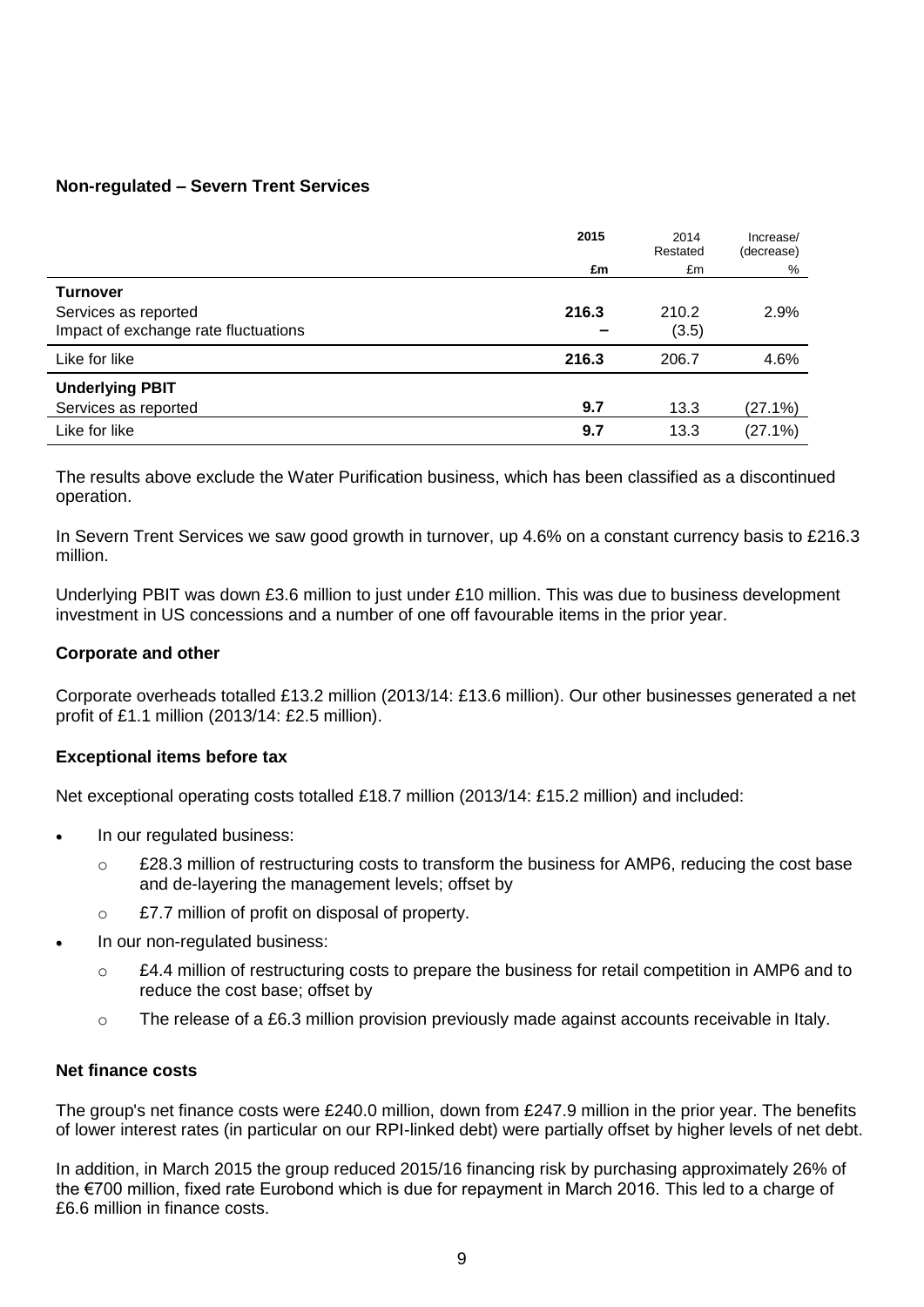## **Non-regulated – Severn Trent Services**

|                                      | 2015  | 2014<br>Restated | Increase/<br>(decrease) |
|--------------------------------------|-------|------------------|-------------------------|
|                                      | £m    | £m               | %                       |
| <b>Turnover</b>                      |       |                  |                         |
| Services as reported                 | 216.3 | 210.2            | 2.9%                    |
| Impact of exchange rate fluctuations |       | (3.5)            |                         |
| Like for like                        | 216.3 | 206.7            | 4.6%                    |
| <b>Underlying PBIT</b>               |       |                  |                         |
| Services as reported                 | 9.7   | 13.3             | (27.1%)                 |
| Like for like                        | 9.7   | 13.3             | (27.1%)                 |

The results above exclude the Water Purification business, which has been classified as a discontinued operation.

In Severn Trent Services we saw good growth in turnover, up 4.6% on a constant currency basis to £216.3 million.

Underlying PBIT was down £3.6 million to just under £10 million. This was due to business development investment in US concessions and a number of one off favourable items in the prior year.

## **Corporate and other**

Corporate overheads totalled £13.2 million (2013/14: £13.6 million). Our other businesses generated a net profit of £1.1 million (2013/14: £2.5 million).

## **Exceptional items before tax**

Net exceptional operating costs totalled £18.7 million (2013/14: £15.2 million) and included:

- In our regulated business:
	- $\circ$  £28.3 million of restructuring costs to transform the business for AMP6, reducing the cost base and de-layering the management levels; offset by
	- o £7.7 million of profit on disposal of property.
- In our non-regulated business:
	- $\circ$  £4.4 million of restructuring costs to prepare the business for retail competition in AMP6 and to reduce the cost base; offset by
	- $\circ$  The release of a £6.3 million provision previously made against accounts receivable in Italy.

## **Net finance costs**

The group's net finance costs were £240.0 million, down from £247.9 million in the prior year. The benefits of lower interest rates (in particular on our RPI-linked debt) were partially offset by higher levels of net debt.

In addition, in March 2015 the group reduced 2015/16 financing risk by purchasing approximately 26% of the €700 million, fixed rate Eurobond which is due for repayment in March 2016. This led to a charge of £6.6 million in finance costs.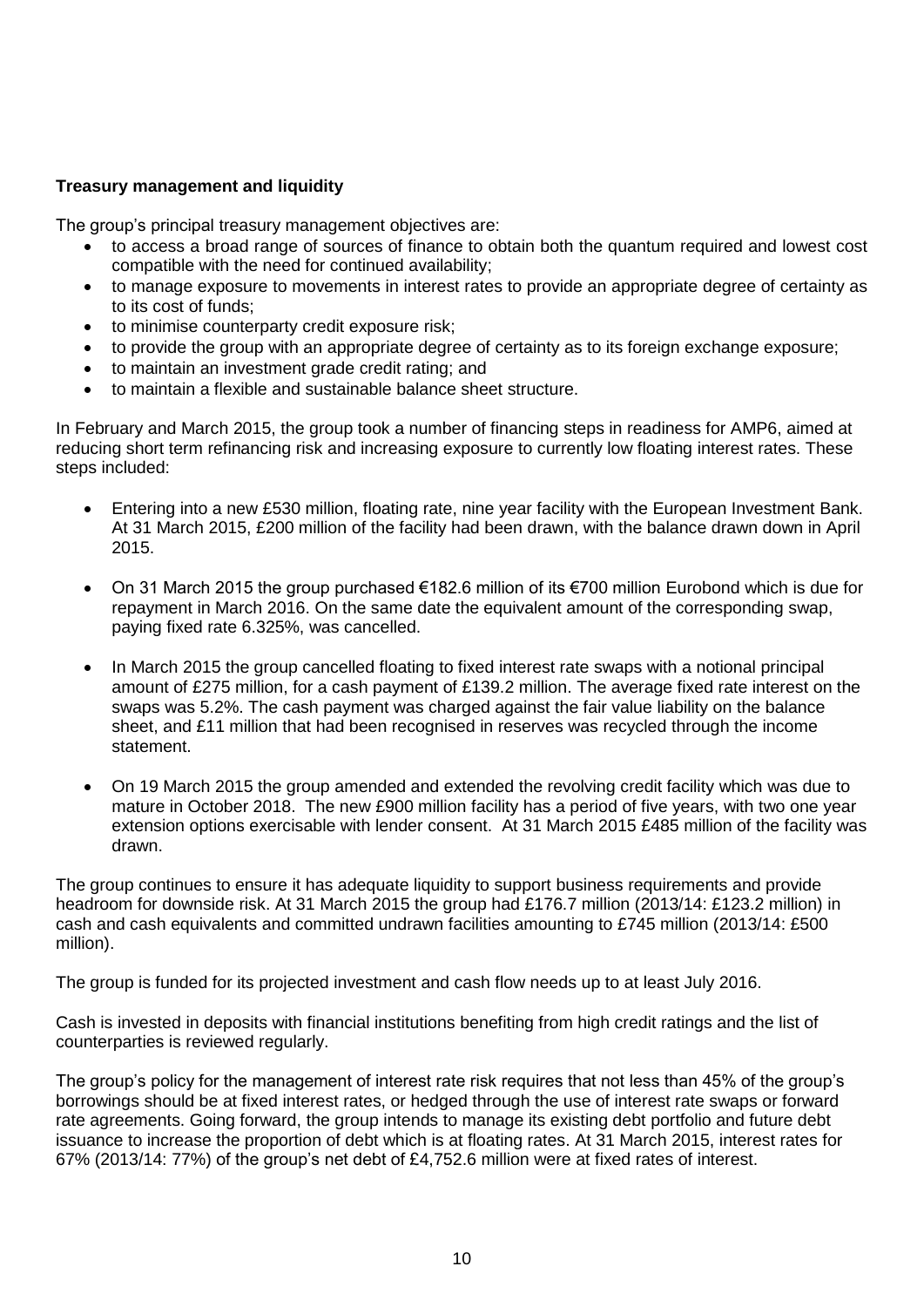# **Treasury management and liquidity**

The group's principal treasury management objectives are:

- to access a broad range of sources of finance to obtain both the quantum required and lowest cost compatible with the need for continued availability;
- to manage exposure to movements in interest rates to provide an appropriate degree of certainty as to its cost of funds;
- to minimise counterparty credit exposure risk;
- to provide the group with an appropriate degree of certainty as to its foreign exchange exposure;
- to maintain an investment grade credit rating; and
- to maintain a flexible and sustainable balance sheet structure.

In February and March 2015, the group took a number of financing steps in readiness for AMP6, aimed at reducing short term refinancing risk and increasing exposure to currently low floating interest rates. These steps included:

- Entering into a new £530 million, floating rate, nine year facility with the European Investment Bank. At 31 March 2015, £200 million of the facility had been drawn, with the balance drawn down in April 2015.
- On 31 March 2015 the group purchased €182.6 million of its €700 million Eurobond which is due for repayment in March 2016. On the same date the equivalent amount of the corresponding swap, paying fixed rate 6.325%, was cancelled.
- In March 2015 the group cancelled floating to fixed interest rate swaps with a notional principal amount of £275 million, for a cash payment of £139.2 million. The average fixed rate interest on the swaps was 5.2%. The cash payment was charged against the fair value liability on the balance sheet, and £11 million that had been recognised in reserves was recycled through the income statement.
- On 19 March 2015 the group amended and extended the revolving credit facility which was due to mature in October 2018. The new £900 million facility has a period of five years, with two one year extension options exercisable with lender consent. At 31 March 2015 £485 million of the facility was drawn.

The group continues to ensure it has adequate liquidity to support business requirements and provide headroom for downside risk. At 31 March 2015 the group had £176.7 million (2013/14: £123.2 million) in cash and cash equivalents and committed undrawn facilities amounting to £745 million (2013/14: £500 million).

The group is funded for its projected investment and cash flow needs up to at least July 2016.

Cash is invested in deposits with financial institutions benefiting from high credit ratings and the list of counterparties is reviewed regularly.

The group's policy for the management of interest rate risk requires that not less than 45% of the group's borrowings should be at fixed interest rates, or hedged through the use of interest rate swaps or forward rate agreements. Going forward, the group intends to manage its existing debt portfolio and future debt issuance to increase the proportion of debt which is at floating rates. At 31 March 2015, interest rates for 67% (2013/14: 77%) of the group's net debt of £4,752.6 million were at fixed rates of interest.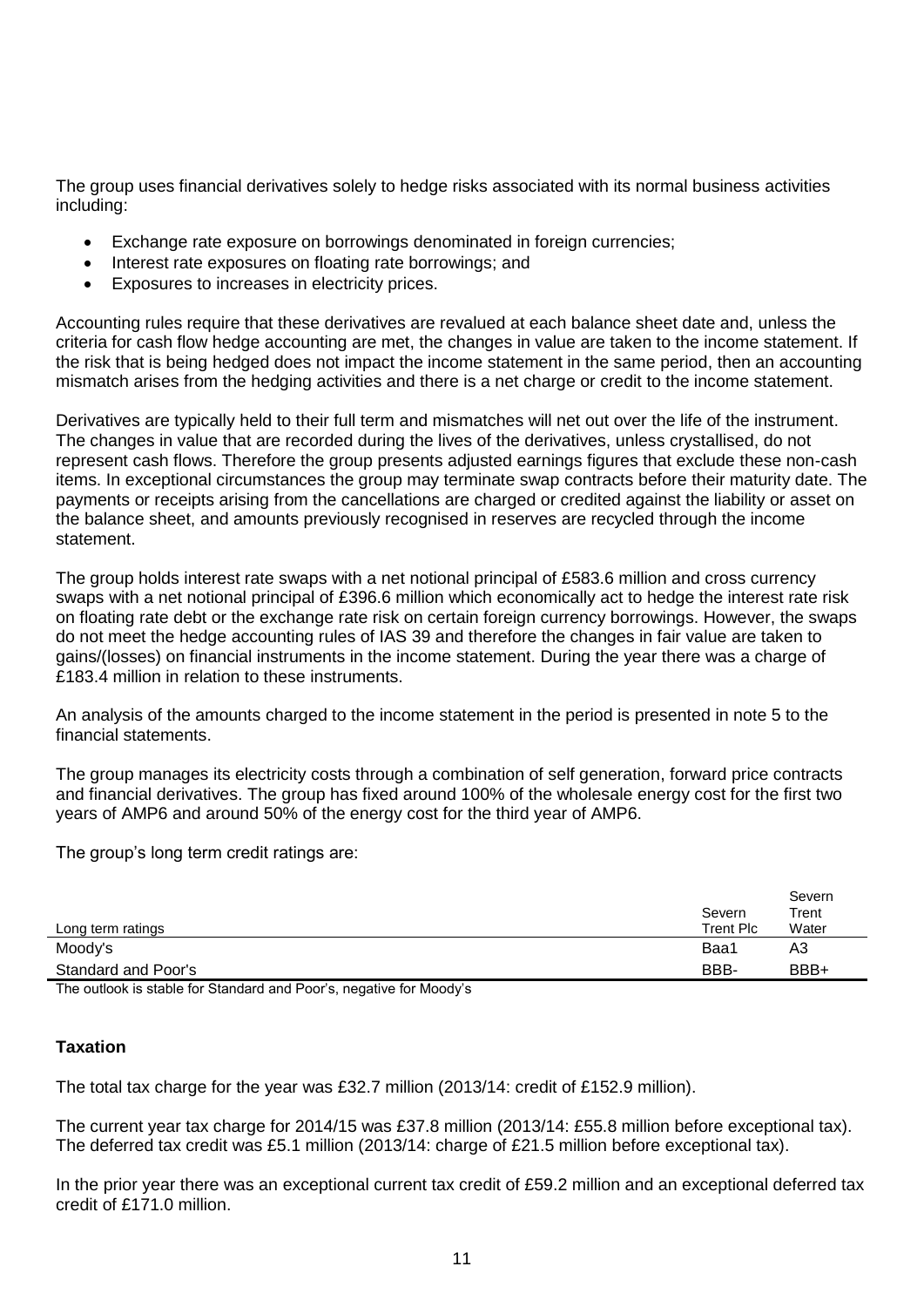The group uses financial derivatives solely to hedge risks associated with its normal business activities including:

- Exchange rate exposure on borrowings denominated in foreign currencies;
- Interest rate exposures on floating rate borrowings; and
- Exposures to increases in electricity prices.

Accounting rules require that these derivatives are revalued at each balance sheet date and, unless the criteria for cash flow hedge accounting are met, the changes in value are taken to the income statement. If the risk that is being hedged does not impact the income statement in the same period, then an accounting mismatch arises from the hedging activities and there is a net charge or credit to the income statement.

Derivatives are typically held to their full term and mismatches will net out over the life of the instrument. The changes in value that are recorded during the lives of the derivatives, unless crystallised, do not represent cash flows. Therefore the group presents adjusted earnings figures that exclude these non-cash items. In exceptional circumstances the group may terminate swap contracts before their maturity date. The payments or receipts arising from the cancellations are charged or credited against the liability or asset on the balance sheet, and amounts previously recognised in reserves are recycled through the income statement.

The group holds interest rate swaps with a net notional principal of £583.6 million and cross currency swaps with a net notional principal of £396.6 million which economically act to hedge the interest rate risk on floating rate debt or the exchange rate risk on certain foreign currency borrowings. However, the swaps do not meet the hedge accounting rules of IAS 39 and therefore the changes in fair value are taken to gains/(losses) on financial instruments in the income statement. During the year there was a charge of £183.4 million in relation to these instruments.

An analysis of the amounts charged to the income statement in the period is presented in note 5 to the financial statements.

The group manages its electricity costs through a combination of self generation, forward price contracts and financial derivatives. The group has fixed around 100% of the wholesale energy cost for the first two years of AMP6 and around 50% of the energy cost for the third year of AMP6.

The group's long term credit ratings are:

|                     | Severn    | Severn<br>Trent |
|---------------------|-----------|-----------------|
| Long term ratings   | Trent Plc | Water           |
| Moody's             | Baa1      | A3              |
| Standard and Poor's | BBB-      | BBB+            |

The outlook is stable for Standard and Poor's, negative for Moody's

## **Taxation**

The total tax charge for the year was £32.7 million (2013/14: credit of £152.9 million).

The current year tax charge for 2014/15 was £37.8 million (2013/14: £55.8 million before exceptional tax). The deferred tax credit was £5.1 million (2013/14: charge of £21.5 million before exceptional tax).

In the prior year there was an exceptional current tax credit of £59.2 million and an exceptional deferred tax credit of £171.0 million.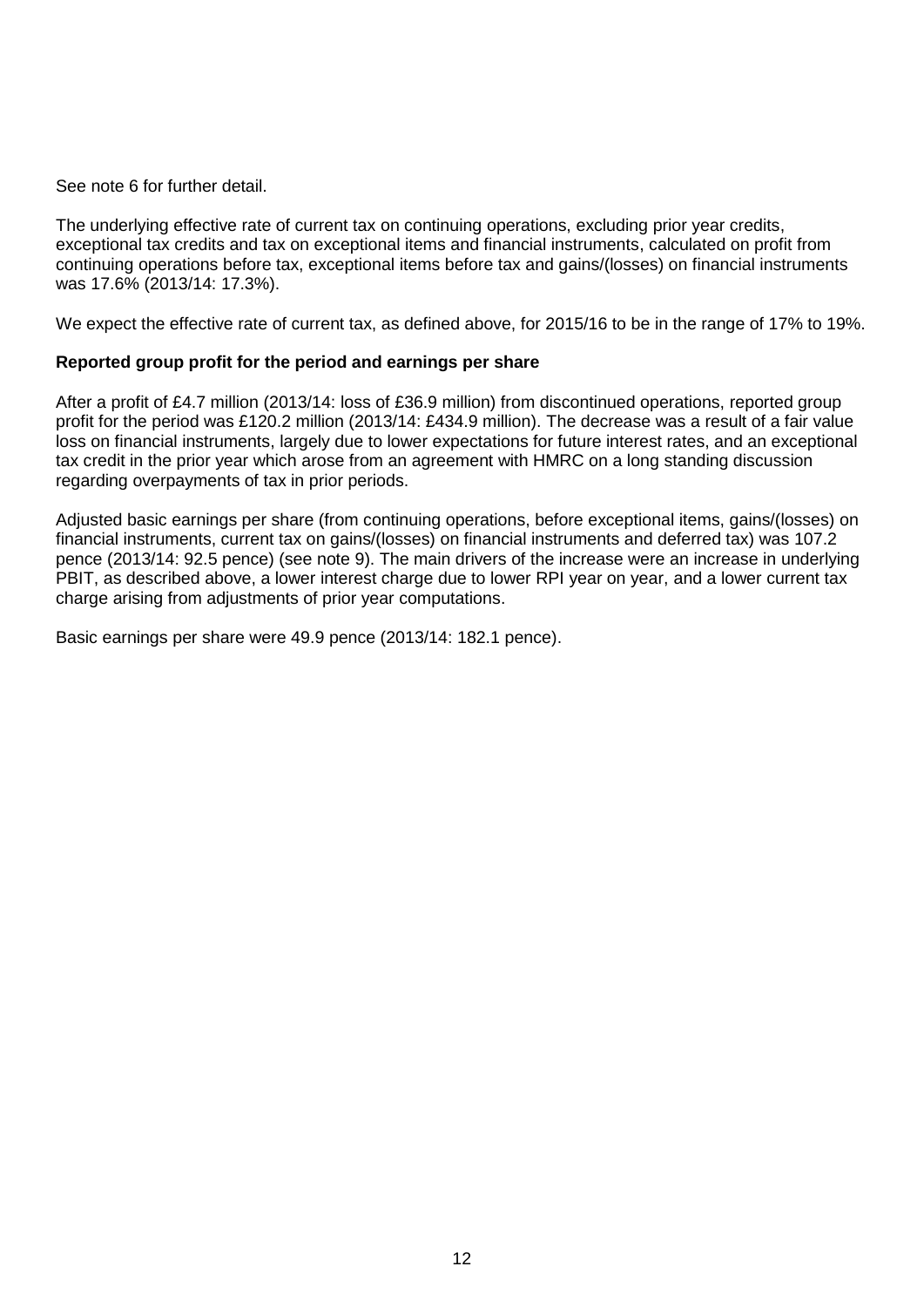See note 6 for further detail.

The underlying effective rate of current tax on continuing operations, excluding prior year credits, exceptional tax credits and tax on exceptional items and financial instruments, calculated on profit from continuing operations before tax, exceptional items before tax and gains/(losses) on financial instruments was 17.6% (2013/14: 17.3%).

We expect the effective rate of current tax, as defined above, for 2015/16 to be in the range of 17% to 19%.

## **Reported group profit for the period and earnings per share**

After a profit of £4.7 million (2013/14: loss of £36.9 million) from discontinued operations, reported group profit for the period was £120.2 million (2013/14: £434.9 million). The decrease was a result of a fair value loss on financial instruments, largely due to lower expectations for future interest rates, and an exceptional tax credit in the prior year which arose from an agreement with HMRC on a long standing discussion regarding overpayments of tax in prior periods.

Adjusted basic earnings per share (from continuing operations, before exceptional items, gains/(losses) on financial instruments, current tax on gains/(losses) on financial instruments and deferred tax) was 107.2 pence (2013/14: 92.5 pence) (see note 9). The main drivers of the increase were an increase in underlying PBIT, as described above, a lower interest charge due to lower RPI year on year, and a lower current tax charge arising from adjustments of prior year computations.

Basic earnings per share were 49.9 pence (2013/14: 182.1 pence).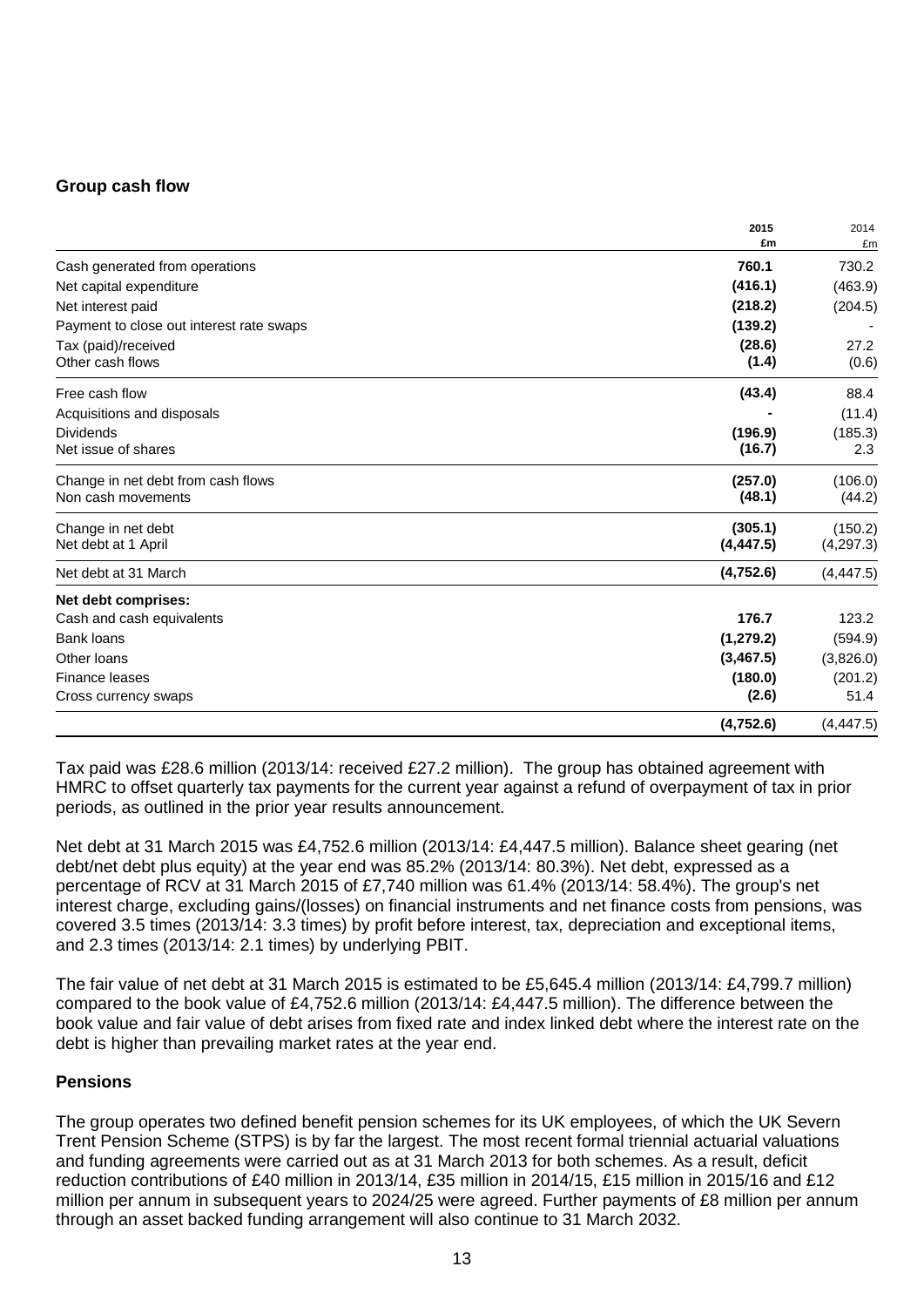## **Group cash flow**

|                                          | 2015            | 2014          |
|------------------------------------------|-----------------|---------------|
|                                          | £m              | £m            |
| Cash generated from operations           | 760.1           | 730.2         |
| Net capital expenditure                  | (416.1)         | (463.9)       |
| Net interest paid                        | (218.2)         | (204.5)       |
| Payment to close out interest rate swaps | (139.2)         |               |
| Tax (paid)/received<br>Other cash flows  | (28.6)<br>(1.4) | 27.2<br>(0.6) |
| Free cash flow                           | (43.4)          | 88.4          |
| Acquisitions and disposals               |                 | (11.4)        |
| <b>Dividends</b>                         | (196.9)         | (185.3)       |
| Net issue of shares                      | (16.7)          | 2.3           |
| Change in net debt from cash flows       | (257.0)         | (106.0)       |
| Non cash movements                       | (48.1)          | (44.2)        |
| Change in net debt                       | (305.1)         | (150.2)       |
| Net debt at 1 April                      | (4, 447.5)      | (4, 297.3)    |
| Net debt at 31 March                     | (4,752.6)       | (4, 447.5)    |
| Net debt comprises:                      |                 |               |
| Cash and cash equivalents                | 176.7           | 123.2         |
| <b>Bank loans</b>                        | (1, 279.2)      | (594.9)       |
| Other loans                              | (3,467.5)       | (3,826.0)     |
| Finance leases                           | (180.0)         | (201.2)       |
| Cross currency swaps                     | (2.6)           | 51.4          |
|                                          | (4,752.6)       | (4, 447.5)    |

Tax paid was £28.6 million (2013/14: received £27.2 million). The group has obtained agreement with HMRC to offset quarterly tax payments for the current year against a refund of overpayment of tax in prior periods, as outlined in the prior year results announcement.

Net debt at 31 March 2015 was £4,752.6 million (2013/14: £4,447.5 million). Balance sheet gearing (net debt/net debt plus equity) at the year end was 85.2% (2013/14: 80.3%). Net debt, expressed as a percentage of RCV at 31 March 2015 of £7,740 million was 61.4% (2013/14: 58.4%). The group's net interest charge, excluding gains/(losses) on financial instruments and net finance costs from pensions, was covered 3.5 times (2013/14: 3.3 times) by profit before interest, tax, depreciation and exceptional items, and 2.3 times (2013/14: 2.1 times) by underlying PBIT.

The fair value of net debt at 31 March 2015 is estimated to be £5,645.4 million (2013/14: £4,799.7 million) compared to the book value of £4,752.6 million (2013/14: £4,447.5 million). The difference between the book value and fair value of debt arises from fixed rate and index linked debt where the interest rate on the debt is higher than prevailing market rates at the year end.

## **Pensions**

The group operates two defined benefit pension schemes for its UK employees, of which the UK Severn Trent Pension Scheme (STPS) is by far the largest. The most recent formal triennial actuarial valuations and funding agreements were carried out as at 31 March 2013 for both schemes. As a result, deficit reduction contributions of £40 million in 2013/14, £35 million in 2014/15, £15 million in 2015/16 and £12 million per annum in subsequent years to 2024/25 were agreed. Further payments of £8 million per annum through an asset backed funding arrangement will also continue to 31 March 2032.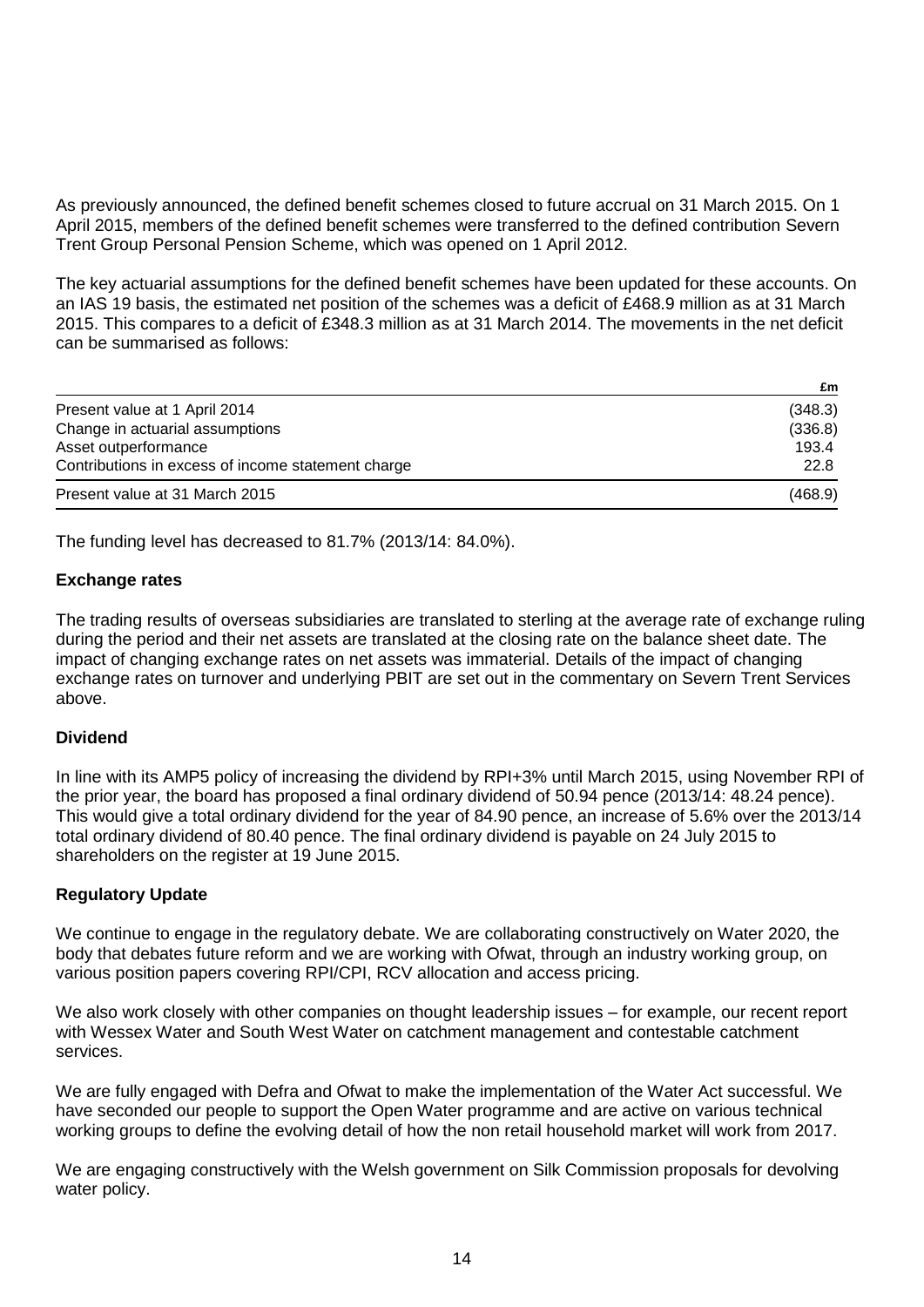As previously announced, the defined benefit schemes closed to future accrual on 31 March 2015. On 1 April 2015, members of the defined benefit schemes were transferred to the defined contribution Severn Trent Group Personal Pension Scheme, which was opened on 1 April 2012.

The key actuarial assumptions for the defined benefit schemes have been updated for these accounts. On an IAS 19 basis, the estimated net position of the schemes was a deficit of £468.9 million as at 31 March 2015. This compares to a deficit of £348.3 million as at 31 March 2014. The movements in the net deficit can be summarised as follows:

|                                                    | £m      |
|----------------------------------------------------|---------|
| Present value at 1 April 2014                      | (348.3) |
| Change in actuarial assumptions                    | (336.8) |
| Asset outperformance                               | 193.4   |
| Contributions in excess of income statement charge | 22.8    |
| Present value at 31 March 2015                     | (468.9) |

The funding level has decreased to 81.7% (2013/14: 84.0%).

## **Exchange rates**

The trading results of overseas subsidiaries are translated to sterling at the average rate of exchange ruling during the period and their net assets are translated at the closing rate on the balance sheet date. The impact of changing exchange rates on net assets was immaterial. Details of the impact of changing exchange rates on turnover and underlying PBIT are set out in the commentary on Severn Trent Services above.

## **Dividend**

In line with its AMP5 policy of increasing the dividend by RPI+3% until March 2015, using November RPI of the prior year, the board has proposed a final ordinary dividend of 50.94 pence (2013/14: 48.24 pence). This would give a total ordinary dividend for the year of 84.90 pence, an increase of 5.6% over the 2013/14 total ordinary dividend of 80.40 pence. The final ordinary dividend is payable on 24 July 2015 to shareholders on the register at 19 June 2015.

## **Regulatory Update**

We continue to engage in the regulatory debate. We are collaborating constructively on Water 2020, the body that debates future reform and we are working with Ofwat, through an industry working group, on various position papers covering RPI/CPI, RCV allocation and access pricing.

We also work closely with other companies on thought leadership issues – for example, our recent report with Wessex Water and South West Water on catchment management and contestable catchment services.

We are fully engaged with Defra and Ofwat to make the implementation of the Water Act successful. We have seconded our people to support the Open Water programme and are active on various technical working groups to define the evolving detail of how the non retail household market will work from 2017.

We are engaging constructively with the Welsh government on Silk Commission proposals for devolving water policy.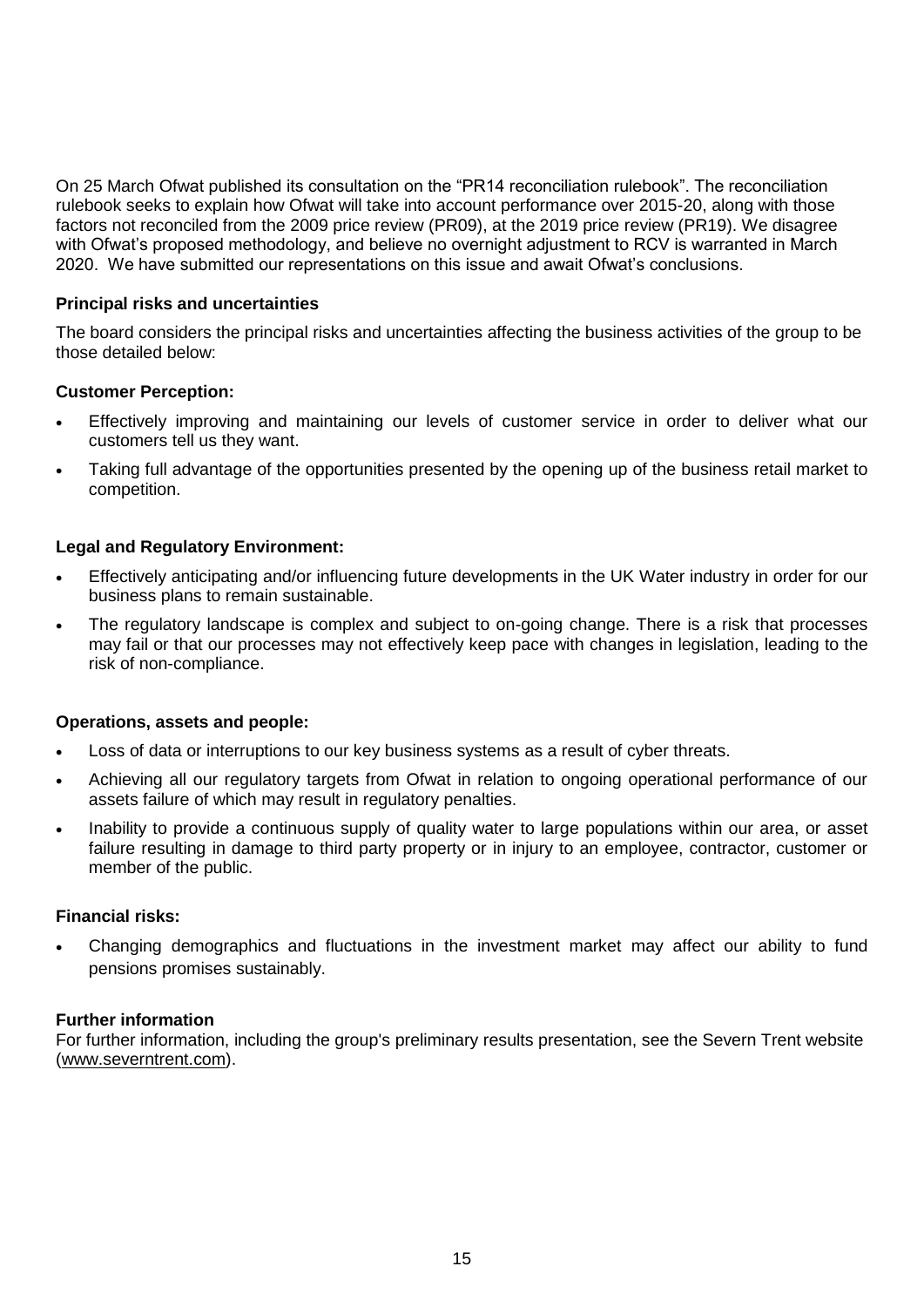On 25 March Ofwat published its consultation on the "PR14 reconciliation rulebook". The reconciliation rulebook seeks to explain how Ofwat will take into account performance over 2015-20, along with those factors not reconciled from the 2009 price review (PR09), at the 2019 price review (PR19). We disagree with Ofwat's proposed methodology, and believe no overnight adjustment to RCV is warranted in March 2020. We have submitted our representations on this issue and await Ofwat's conclusions.

# **Principal risks and uncertainties**

The board considers the principal risks and uncertainties affecting the business activities of the group to be those detailed below:

## **Customer Perception:**

- Effectively improving and maintaining our levels of customer service in order to deliver what our customers tell us they want.
- Taking full advantage of the opportunities presented by the opening up of the business retail market to competition.

# **Legal and Regulatory Environment:**

- Effectively anticipating and/or influencing future developments in the UK Water industry in order for our business plans to remain sustainable.
- The regulatory landscape is complex and subject to on-going change. There is a risk that processes may fail or that our processes may not effectively keep pace with changes in legislation, leading to the risk of non-compliance.

## **Operations, assets and people:**

- Loss of data or interruptions to our key business systems as a result of cyber threats.
- Achieving all our regulatory targets from Ofwat in relation to ongoing operational performance of our assets failure of which may result in regulatory penalties.
- Inability to provide a continuous supply of quality water to large populations within our area, or asset failure resulting in damage to third party property or in injury to an employee, contractor, customer or member of the public.

## **Financial risks:**

 Changing demographics and fluctuations in the investment market may affect our ability to fund pensions promises sustainably.

## **Further information**

For further information, including the group's preliminary results presentation, see the Severn Trent website (www.severntrent.com).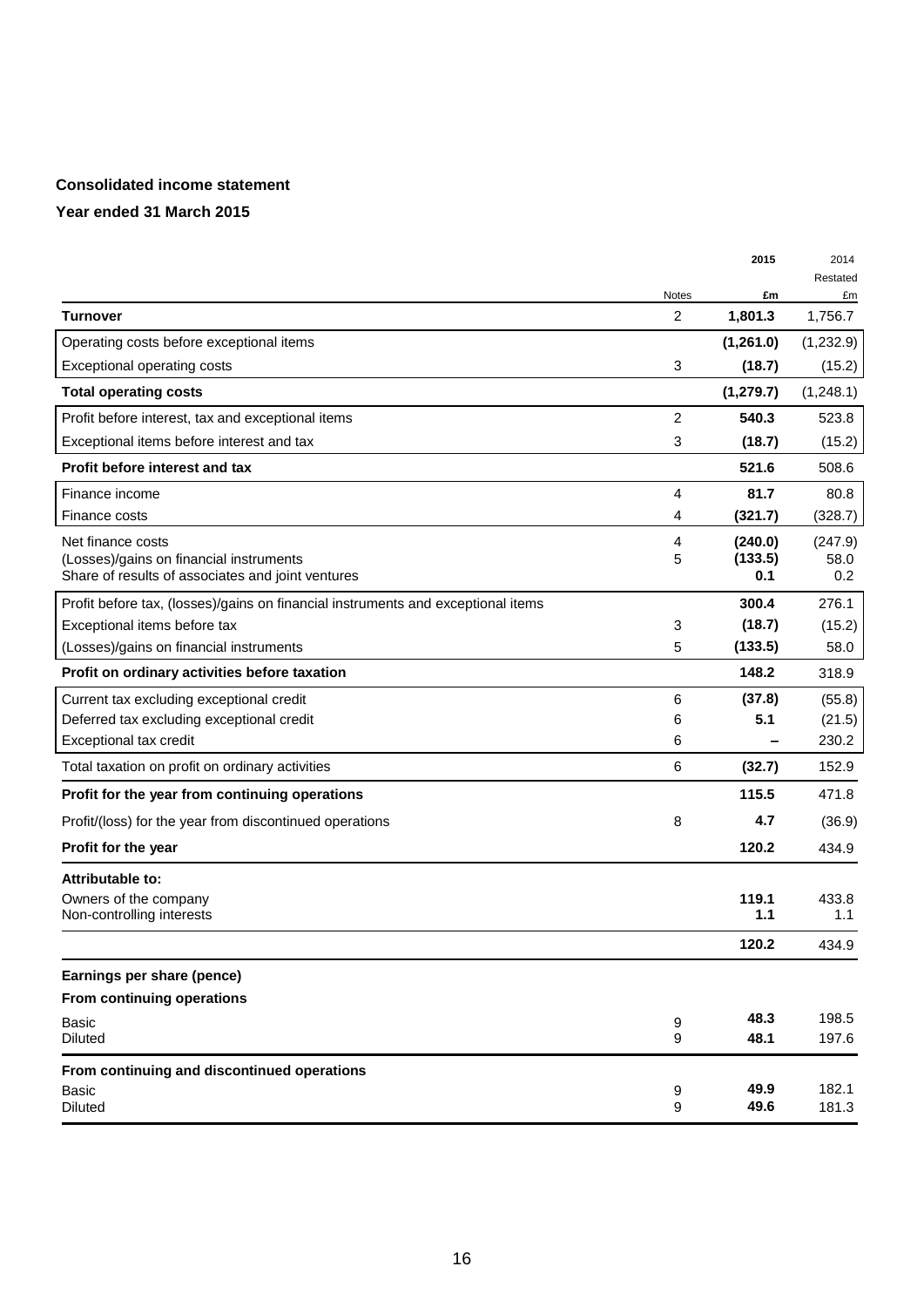## **Consolidated income statement**

|                                                                                              |                | 2015           | 2014           |
|----------------------------------------------------------------------------------------------|----------------|----------------|----------------|
|                                                                                              | <b>Notes</b>   | £m             | Restated<br>£m |
| Turnover                                                                                     | 2              | 1,801.3        | 1,756.7        |
| Operating costs before exceptional items                                                     |                | (1,261.0)      | (1,232.9)      |
| Exceptional operating costs                                                                  | 3              | (18.7)         | (15.2)         |
| <b>Total operating costs</b>                                                                 |                | (1, 279.7)     | (1,248.1)      |
| Profit before interest, tax and exceptional items                                            | $\overline{2}$ | 540.3          | 523.8          |
| Exceptional items before interest and tax                                                    | 3              | (18.7)         | (15.2)         |
| Profit before interest and tax                                                               |                | 521.6          | 508.6          |
| Finance income                                                                               | 4              | 81.7           | 80.8           |
| Finance costs                                                                                | 4              | (321.7)        | (328.7)        |
| Net finance costs                                                                            | 4              | (240.0)        | (247.9)        |
| (Losses)/gains on financial instruments<br>Share of results of associates and joint ventures | 5              | (133.5)<br>0.1 | 58.0<br>0.2    |
| Profit before tax, (losses)/gains on financial instruments and exceptional items             |                | 300.4          | 276.1          |
| Exceptional items before tax                                                                 | 3              | (18.7)         | (15.2)         |
| (Losses)/gains on financial instruments                                                      | 5              | (133.5)        | 58.0           |
| Profit on ordinary activities before taxation                                                |                | 148.2          | 318.9          |
| Current tax excluding exceptional credit                                                     | 6              | (37.8)         | (55.8)         |
| Deferred tax excluding exceptional credit                                                    | 6              | 5.1            | (21.5)         |
| Exceptional tax credit                                                                       | 6              |                | 230.2          |
| Total taxation on profit on ordinary activities                                              | 6              | (32.7)         | 152.9          |
| Profit for the year from continuing operations                                               |                | 115.5          | 471.8          |
| Profit/(loss) for the year from discontinued operations                                      | 8              | 4.7            | (36.9)         |
| <b>Profit for the year</b>                                                                   |                | 120.2          | 434.9          |
| Attributable to:                                                                             |                |                |                |
| Owners of the company                                                                        |                | 119.1          | 433.8          |
| Non-controlling interests                                                                    |                | 1.1            | 1.1            |
|                                                                                              |                | 120.2          | 434.9          |
| Earnings per share (pence)                                                                   |                |                |                |
| From continuing operations                                                                   |                |                |                |
| <b>Basic</b><br><b>Diluted</b>                                                               | 9<br>9         | 48.3<br>48.1   | 198.5<br>197.6 |
| From continuing and discontinued operations                                                  |                |                |                |
| <b>Basic</b><br><b>Diluted</b>                                                               | 9<br>9         | 49.9<br>49.6   | 182.1<br>181.3 |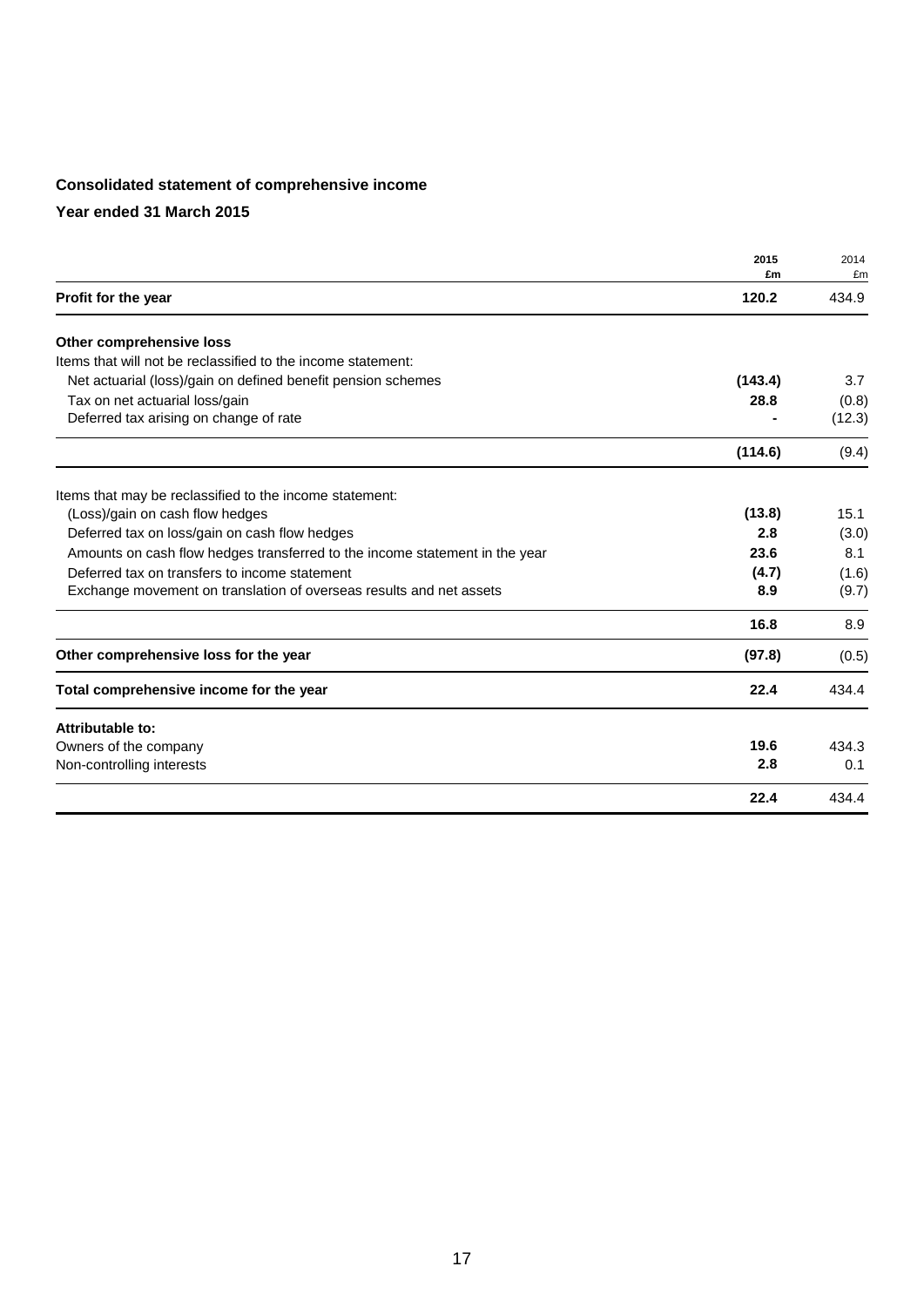# **Consolidated statement of comprehensive income**

|                                                                             | 2015    | 2014   |
|-----------------------------------------------------------------------------|---------|--------|
|                                                                             | £m      | £m     |
| Profit for the year                                                         | 120.2   | 434.9  |
| Other comprehensive loss                                                    |         |        |
| Items that will not be reclassified to the income statement:                |         |        |
| Net actuarial (loss)/gain on defined benefit pension schemes                | (143.4) | 3.7    |
| Tax on net actuarial loss/gain                                              | 28.8    | (0.8)  |
| Deferred tax arising on change of rate                                      |         | (12.3) |
|                                                                             | (114.6) | (9.4)  |
| Items that may be reclassified to the income statement:                     |         |        |
| (Loss)/gain on cash flow hedges                                             | (13.8)  | 15.1   |
| Deferred tax on loss/gain on cash flow hedges                               | 2.8     | (3.0)  |
| Amounts on cash flow hedges transferred to the income statement in the year | 23.6    | 8.1    |
| Deferred tax on transfers to income statement                               | (4.7)   | (1.6)  |
| Exchange movement on translation of overseas results and net assets         | 8.9     | (9.7)  |
|                                                                             | 16.8    | 8.9    |
| Other comprehensive loss for the year                                       | (97.8)  | (0.5)  |
| Total comprehensive income for the year                                     | 22.4    | 434.4  |
| Attributable to:                                                            |         |        |
| Owners of the company                                                       | 19.6    | 434.3  |
| Non-controlling interests                                                   | 2.8     | 0.1    |
|                                                                             | 22.4    | 434.4  |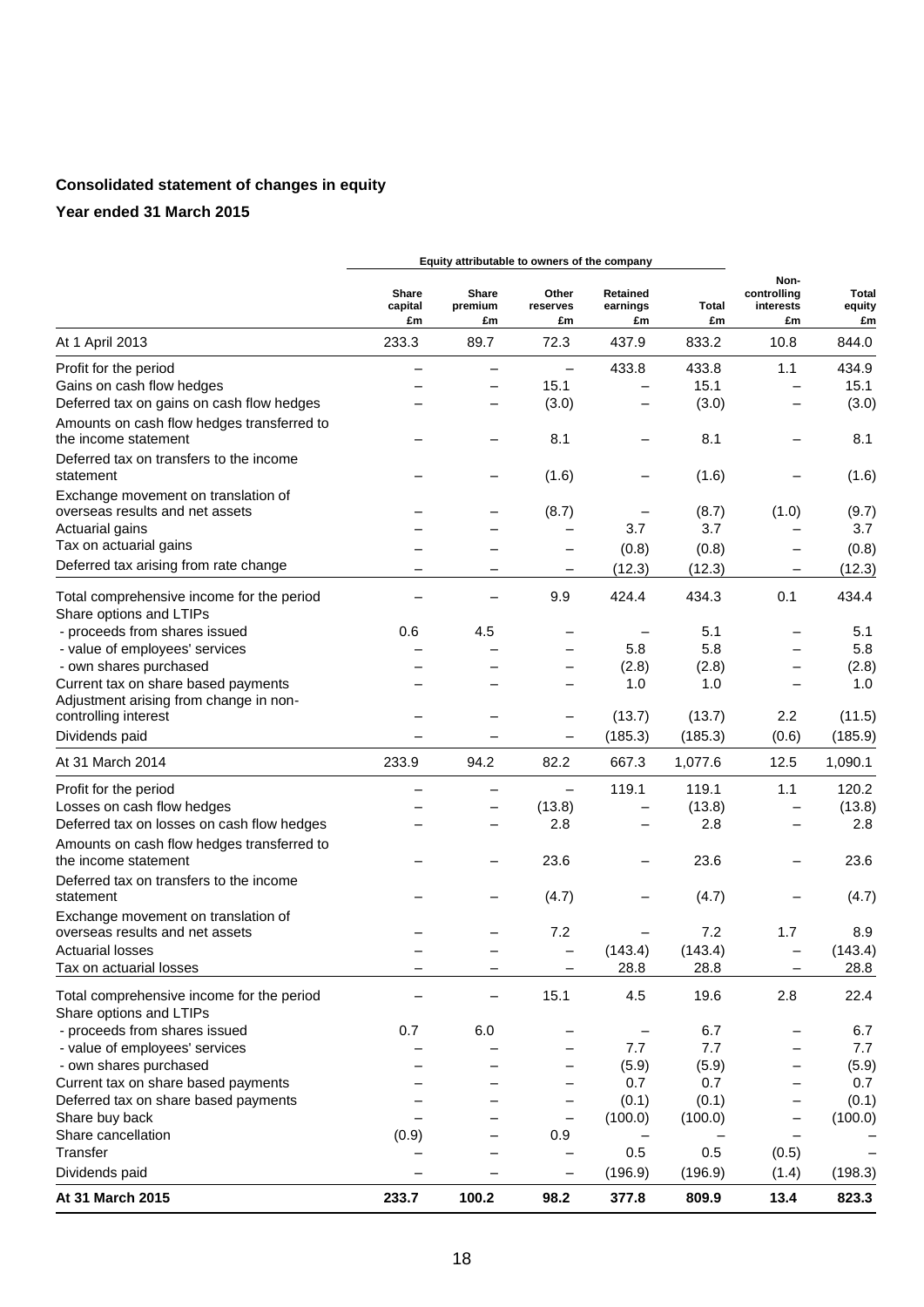# **Consolidated statement of changes in equity**

|                                                                               | Equity attributable to owners of the company |                               |                          |                            |             |                                        |                              |
|-------------------------------------------------------------------------------|----------------------------------------------|-------------------------------|--------------------------|----------------------------|-------------|----------------------------------------|------------------------------|
|                                                                               | Share<br>capital<br>£m                       | <b>Share</b><br>premium<br>£m | Other<br>reserves<br>£m  | Retained<br>earnings<br>£m | Total<br>£m | Non-<br>controlling<br>interests<br>£m | <b>Total</b><br>equity<br>£m |
| At 1 April 2013                                                               | 233.3                                        | 89.7                          | 72.3                     | 437.9                      | 833.2       | 10.8                                   | 844.0                        |
| Profit for the period                                                         |                                              |                               |                          | 433.8                      | 433.8       | 1.1                                    | 434.9                        |
| Gains on cash flow hedges                                                     |                                              |                               | 15.1                     |                            | 15.1        |                                        | 15.1                         |
| Deferred tax on gains on cash flow hedges                                     |                                              | —                             | (3.0)                    |                            | (3.0)       | —                                      | (3.0)                        |
| Amounts on cash flow hedges transferred to<br>the income statement            |                                              |                               | 8.1                      |                            | 8.1         | —                                      | 8.1                          |
| Deferred tax on transfers to the income<br>statement                          |                                              |                               | (1.6)                    | -                          | (1.6)       |                                        | (1.6)                        |
| Exchange movement on translation of                                           |                                              |                               |                          |                            |             |                                        |                              |
| overseas results and net assets                                               |                                              |                               | (8.7)                    |                            | (8.7)       | (1.0)                                  | (9.7)                        |
| Actuarial gains                                                               |                                              |                               |                          | 3.7                        | 3.7         |                                        | 3.7                          |
| Tax on actuarial gains                                                        |                                              |                               |                          | (0.8)                      | (0.8)       |                                        | (0.8)                        |
| Deferred tax arising from rate change                                         | $\overline{\phantom{0}}$                     |                               | $\overline{\phantom{m}}$ | (12.3)                     | (12.3)      | -                                      | (12.3)                       |
| Total comprehensive income for the period                                     |                                              |                               | 9.9                      | 424.4                      | 434.3       | 0.1                                    | 434.4                        |
| Share options and LTIPs                                                       |                                              |                               |                          |                            |             |                                        |                              |
| - proceeds from shares issued                                                 | 0.6                                          | 4.5                           |                          |                            | 5.1         |                                        | 5.1                          |
| - value of employees' services                                                |                                              |                               |                          | 5.8                        | 5.8         |                                        | 5.8                          |
| - own shares purchased                                                        |                                              |                               |                          | (2.8)                      | (2.8)       | -                                      | (2.8)                        |
| Current tax on share based payments<br>Adjustment arising from change in non- |                                              |                               |                          | 1.0                        | 1.0         |                                        | 1.0                          |
| controlling interest                                                          |                                              |                               |                          | (13.7)                     | (13.7)      | 2.2                                    | (11.5)                       |
| Dividends paid                                                                |                                              |                               | $\qquad \qquad -$        | (185.3)                    | (185.3)     | (0.6)                                  | (185.9)                      |
| At 31 March 2014                                                              | 233.9                                        | 94.2                          | 82.2                     | 667.3                      | 1,077.6     | 12.5                                   | 1,090.1                      |
| Profit for the period                                                         |                                              | $\equiv$                      |                          | 119.1                      | 119.1       | 1.1                                    | 120.2                        |
| Losses on cash flow hedges                                                    |                                              |                               | (13.8)                   |                            | (13.8)      |                                        | (13.8)                       |
| Deferred tax on losses on cash flow hedges                                    |                                              |                               | 2.8                      |                            | 2.8         |                                        | 2.8                          |
| Amounts on cash flow hedges transferred to<br>the income statement            |                                              |                               | 23.6                     |                            | 23.6        |                                        | 23.6                         |
| Deferred tax on transfers to the income                                       |                                              |                               |                          |                            |             |                                        |                              |
| statement                                                                     |                                              |                               | (4.7)                    |                            | (4.7)       |                                        | (4.7)                        |
| Exchange movement on translation of<br>overseas results and net assets        |                                              |                               | 7.2                      |                            | 7.2         | 1.7                                    | 8.9                          |
| <b>Actuarial losses</b>                                                       |                                              |                               |                          | (143.4)                    | (143.4)     |                                        | (143.4)                      |
| Tax on actuarial losses                                                       |                                              |                               |                          | 28.8                       | 28.8        | -                                      | 28.8                         |
| Total comprehensive income for the period<br>Share options and LTIPs          |                                              |                               | 15.1                     | 4.5                        | 19.6        | 2.8                                    | 22.4                         |
| - proceeds from shares issued                                                 | 0.7                                          | 6.0                           |                          |                            | 6.7         |                                        | 6.7                          |
| - value of employees' services                                                |                                              |                               |                          | 7.7                        | 7.7         |                                        | 7.7                          |
| - own shares purchased                                                        |                                              |                               |                          | (5.9)                      | (5.9)       |                                        | (5.9)                        |
| Current tax on share based payments                                           |                                              |                               |                          | 0.7                        | 0.7         |                                        | 0.7                          |
| Deferred tax on share based payments                                          |                                              |                               |                          | (0.1)                      | (0.1)       | —                                      | (0.1)                        |
| Share buy back                                                                |                                              |                               |                          | (100.0)                    | (100.0)     | -                                      | (100.0)                      |
| Share cancellation                                                            | (0.9)                                        |                               | 0.9                      |                            |             |                                        |                              |
| Transfer                                                                      |                                              |                               |                          | 0.5                        | 0.5         | (0.5)                                  |                              |
| Dividends paid                                                                |                                              |                               | $\overline{\phantom{m}}$ | (196.9)                    | (196.9)     | (1.4)                                  | (198.3)                      |
| At 31 March 2015                                                              | 233.7                                        | 100.2                         | 98.2                     | 377.8                      | 809.9       | 13.4                                   | 823.3                        |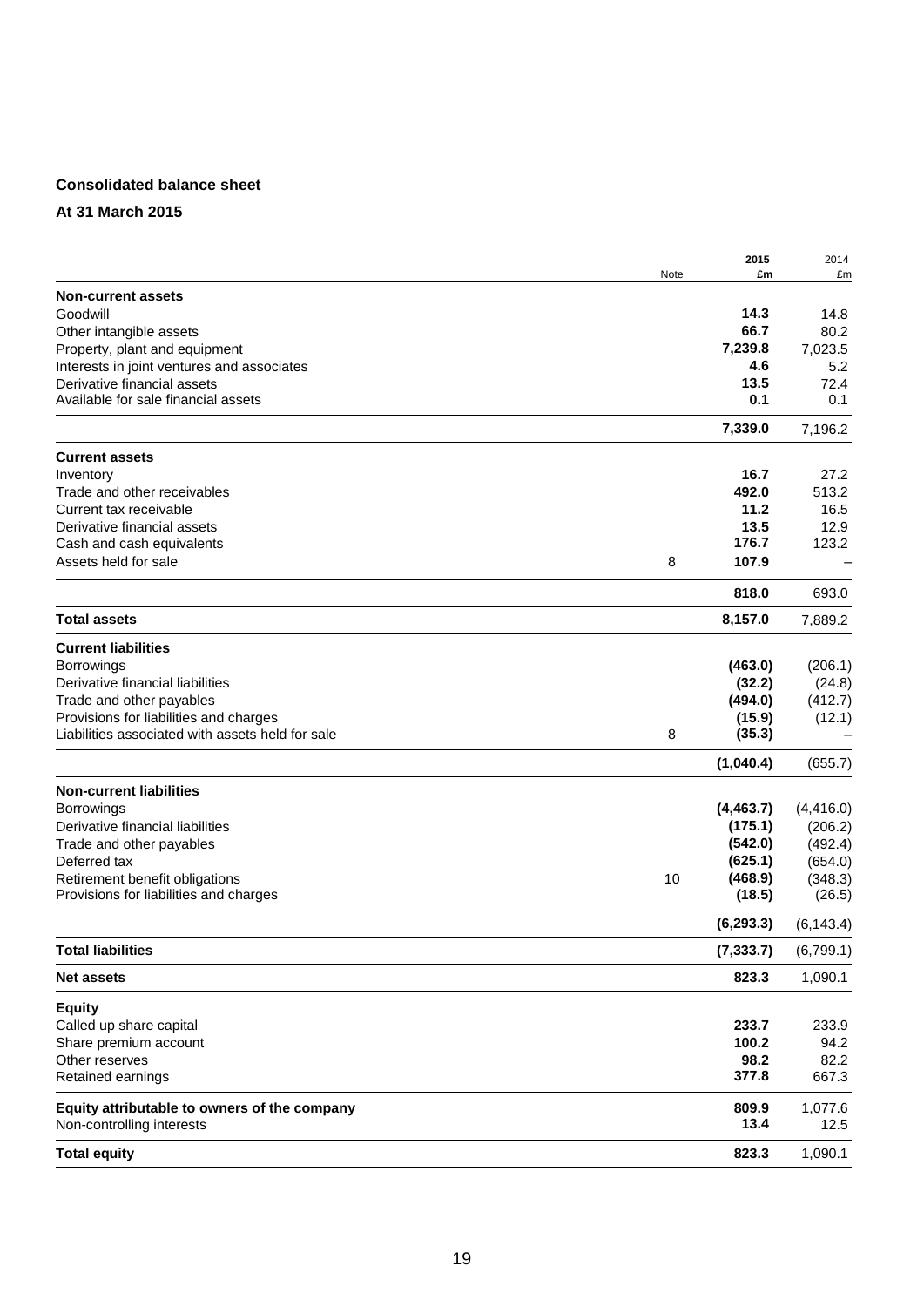## **Consolidated balance sheet**

## **At 31 March 2015**

|                                                       |      | 2015       | 2014       |
|-------------------------------------------------------|------|------------|------------|
|                                                       | Note | £m         | £m         |
| <b>Non-current assets</b>                             |      |            |            |
| Goodwill                                              |      | 14.3       | 14.8       |
| Other intangible assets                               |      | 66.7       | 80.2       |
| Property, plant and equipment                         |      | 7,239.8    | 7,023.5    |
| Interests in joint ventures and associates            |      | 4.6        | 5.2        |
| Derivative financial assets                           |      | 13.5       | 72.4       |
| Available for sale financial assets                   |      | 0.1        | 0.1        |
|                                                       |      | 7,339.0    | 7,196.2    |
| <b>Current assets</b>                                 |      |            |            |
| Inventory                                             |      | 16.7       | 27.2       |
| Trade and other receivables                           |      | 492.0      | 513.2      |
| Current tax receivable                                |      | 11.2       | 16.5       |
| Derivative financial assets                           |      | 13.5       | 12.9       |
| Cash and cash equivalents                             |      | 176.7      | 123.2      |
| Assets held for sale                                  | 8    | 107.9      |            |
|                                                       |      | 818.0      | 693.0      |
| <b>Total assets</b>                                   |      | 8,157.0    | 7,889.2    |
|                                                       |      |            |            |
| <b>Current liabilities</b>                            |      |            |            |
| <b>Borrowings</b><br>Derivative financial liabilities |      | (463.0)    | (206.1)    |
|                                                       |      | (32.2)     | (24.8)     |
| Trade and other payables                              |      | (494.0)    | (412.7)    |
| Provisions for liabilities and charges                |      | (15.9)     | (12.1)     |
| Liabilities associated with assets held for sale      | 8    | (35.3)     |            |
|                                                       |      | (1,040.4)  | (655.7)    |
| <b>Non-current liabilities</b>                        |      |            |            |
| Borrowings                                            |      | (4, 463.7) | (4, 416.0) |
| Derivative financial liabilities                      |      | (175.1)    | (206.2)    |
| Trade and other payables                              |      | (542.0)    | (492.4)    |
| Deferred tax                                          |      | (625.1)    | (654.0)    |
| Retirement benefit obligations                        | 10   | (468.9)    | (348.3)    |
| Provisions for liabilities and charges                |      | (18.5)     | (26.5)     |
|                                                       |      | (6, 293.3) | (6, 143.4) |
| <b>Total liabilities</b>                              |      | (7, 333.7) | (6,799.1)  |
| <b>Net assets</b>                                     |      | 823.3      | 1,090.1    |
| <b>Equity</b>                                         |      |            |            |
| Called up share capital                               |      | 233.7      | 233.9      |
| Share premium account                                 |      | 100.2      | 94.2       |
| Other reserves                                        |      | 98.2       | 82.2       |
| Retained earnings                                     |      | 377.8      | 667.3      |
| Equity attributable to owners of the company          |      | 809.9      | 1,077.6    |
| Non-controlling interests                             |      | 13.4       | 12.5       |
| <b>Total equity</b>                                   |      | 823.3      | 1,090.1    |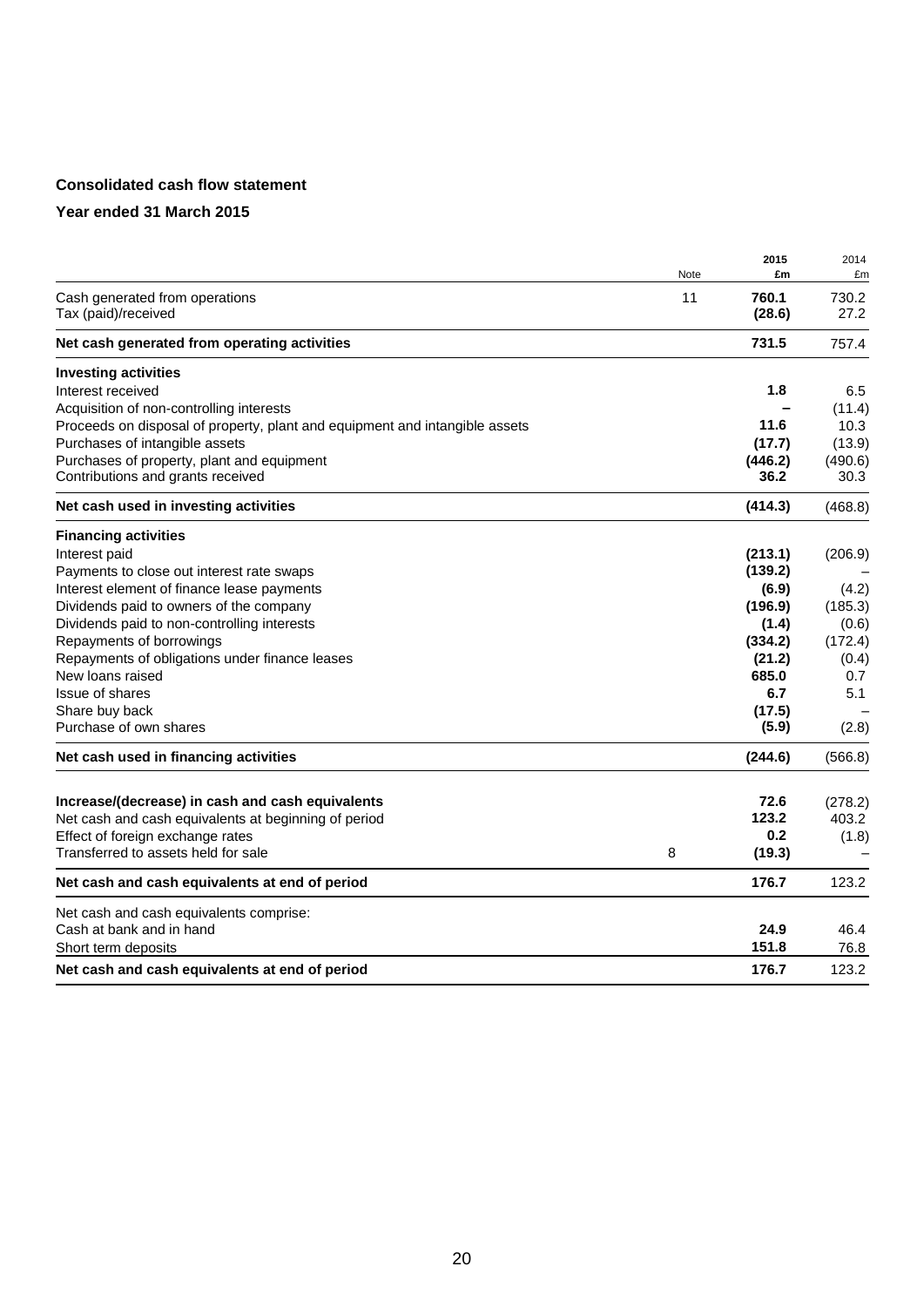## **Consolidated cash flow statement**

|                                                                             | Note | 2015<br>£m      | 2014<br>£m    |
|-----------------------------------------------------------------------------|------|-----------------|---------------|
| Cash generated from operations<br>Tax (paid)/received                       | 11   | 760.1<br>(28.6) | 730.2<br>27.2 |
| Net cash generated from operating activities                                |      | 731.5           | 757.4         |
| <b>Investing activities</b>                                                 |      |                 |               |
| Interest received                                                           |      | 1.8             | 6.5           |
| Acquisition of non-controlling interests                                    |      |                 | (11.4)        |
| Proceeds on disposal of property, plant and equipment and intangible assets |      | 11.6            | 10.3          |
| Purchases of intangible assets                                              |      | (17.7)          | (13.9)        |
| Purchases of property, plant and equipment                                  |      | (446.2)         | (490.6)       |
| Contributions and grants received                                           |      | 36.2            | 30.3          |
| Net cash used in investing activities                                       |      | (414.3)         | (468.8)       |
| <b>Financing activities</b>                                                 |      |                 |               |
| Interest paid                                                               |      | (213.1)         | (206.9)       |
| Payments to close out interest rate swaps                                   |      | (139.2)         |               |
| Interest element of finance lease payments                                  |      | (6.9)           | (4.2)         |
| Dividends paid to owners of the company                                     |      | (196.9)         | (185.3)       |
| Dividends paid to non-controlling interests                                 |      | (1.4)           | (0.6)         |
| Repayments of borrowings                                                    |      | (334.2)         | (172.4)       |
| Repayments of obligations under finance leases                              |      | (21.2)          | (0.4)         |
| New loans raised                                                            |      | 685.0           | 0.7           |
| Issue of shares                                                             |      | 6.7             | 5.1           |
| Share buy back                                                              |      | (17.5)          |               |
| Purchase of own shares                                                      |      | (5.9)           | (2.8)         |
| Net cash used in financing activities                                       |      | (244.6)         | (566.8)       |
| Increase/(decrease) in cash and cash equivalents                            |      | 72.6            | (278.2)       |
| Net cash and cash equivalents at beginning of period                        |      | 123.2           | 403.2         |
| Effect of foreign exchange rates                                            |      | 0.2             | (1.8)         |
| Transferred to assets held for sale                                         | 8    | (19.3)          |               |
|                                                                             |      |                 |               |
| Net cash and cash equivalents at end of period                              |      | 176.7           | 123.2         |
| Net cash and cash equivalents comprise:                                     |      |                 |               |
| Cash at bank and in hand                                                    |      | 24.9            | 46.4          |
| Short term deposits                                                         |      | 151.8           | 76.8          |
| Net cash and cash equivalents at end of period                              |      | 176.7           | 123.2         |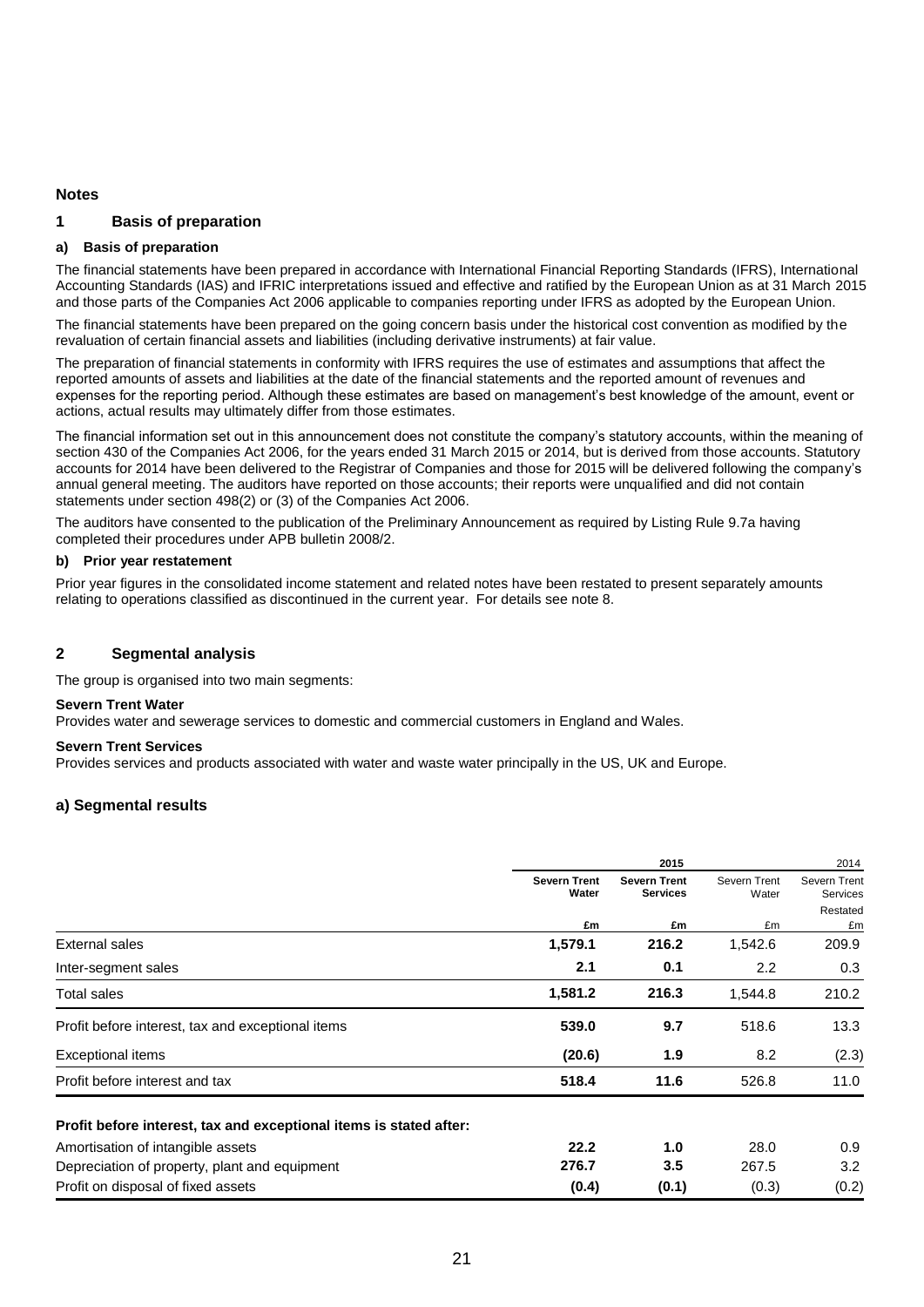#### **Notes**

#### **1 Basis of preparation**

#### **a) Basis of preparation**

The financial statements have been prepared in accordance with International Financial Reporting Standards (IFRS), International Accounting Standards (IAS) and IFRIC interpretations issued and effective and ratified by the European Union as at 31 March 2015 and those parts of the Companies Act 2006 applicable to companies reporting under IFRS as adopted by the European Union.

The financial statements have been prepared on the going concern basis under the historical cost convention as modified by the revaluation of certain financial assets and liabilities (including derivative instruments) at fair value.

The preparation of financial statements in conformity with IFRS requires the use of estimates and assumptions that affect the reported amounts of assets and liabilities at the date of the financial statements and the reported amount of revenues and expenses for the reporting period. Although these estimates are based on management's best knowledge of the amount, event or actions, actual results may ultimately differ from those estimates.

The financial information set out in this announcement does not constitute the company's statutory accounts, within the meaning of section 430 of the Companies Act 2006, for the years ended 31 March 2015 or 2014, but is derived from those accounts. Statutory accounts for 2014 have been delivered to the Registrar of Companies and those for 2015 will be delivered following the company's annual general meeting. The auditors have reported on those accounts; their reports were unqualified and did not contain statements under section 498(2) or (3) of the Companies Act 2006.

The auditors have consented to the publication of the Preliminary Announcement as required by Listing Rule 9.7a having completed their procedures under APB bulletin 2008/2.

#### **b) Prior year restatement**

Prior year figures in the consolidated income statement and related notes have been restated to present separately amounts relating to operations classified as discontinued in the current year. For details see note 8.

#### **2 Segmental analysis**

The group is organised into two main segments:

#### **Severn Trent Water**

Provides water and sewerage services to domestic and commercial customers in England and Wales.

#### **Severn Trent Services**

Provides services and products associated with water and waste water principally in the US, UK and Europe.

#### **a) Segmental results**

|                                                                    | 2015                         |                                        |                       | 2014                     |
|--------------------------------------------------------------------|------------------------------|----------------------------------------|-----------------------|--------------------------|
|                                                                    | <b>Severn Trent</b><br>Water | <b>Severn Trent</b><br><b>Services</b> | Severn Trent<br>Water | Severn Trent<br>Services |
|                                                                    |                              |                                        |                       | Restated                 |
|                                                                    | £m                           | £m                                     | £m                    | £m                       |
| <b>External sales</b>                                              | 1,579.1                      | 216.2                                  | 1,542.6               | 209.9                    |
| Inter-segment sales                                                | 2.1                          | 0.1                                    | 2.2                   | 0.3                      |
| Total sales                                                        | 1,581.2                      | 216.3                                  | 1,544.8               | 210.2                    |
| Profit before interest, tax and exceptional items                  | 539.0                        | 9.7                                    | 518.6                 | 13.3                     |
| Exceptional items                                                  | (20.6)                       | 1.9                                    | 8.2                   | (2.3)                    |
| Profit before interest and tax                                     | 518.4                        | 11.6                                   | 526.8                 | 11.0                     |
| Profit before interest, tax and exceptional items is stated after: |                              |                                        |                       |                          |
| Amortisation of intangible assets                                  | 22.2                         | 1.0                                    | 28.0                  | 0.9                      |
| Depreciation of property, plant and equipment                      | 276.7                        | 3.5                                    | 267.5                 | 3.2 <sub>2</sub>         |
| Profit on disposal of fixed assets                                 | (0.4)                        | (0.1)                                  | (0.3)                 | (0.2)                    |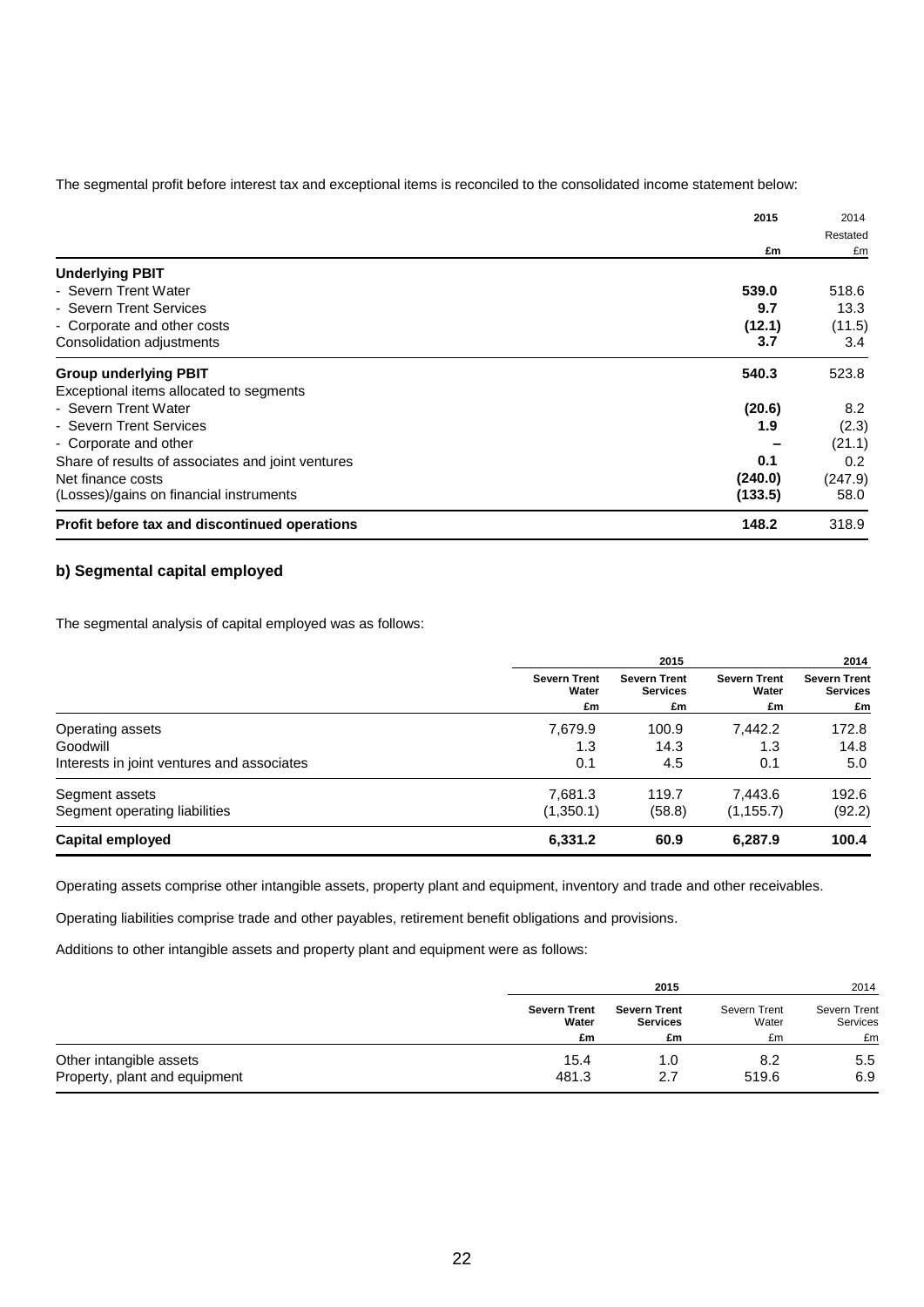The segmental profit before interest tax and exceptional items is reconciled to the consolidated income statement below:

|                                                   | 2015    | 2014<br>Restated |
|---------------------------------------------------|---------|------------------|
|                                                   |         |                  |
|                                                   | £m      | £m               |
| <b>Underlying PBIT</b>                            |         |                  |
| - Severn Trent Water                              | 539.0   | 518.6            |
| - Severn Trent Services                           | 9.7     | 13.3             |
| - Corporate and other costs                       | (12.1)  | (11.5)           |
| Consolidation adjustments                         | 3.7     | 3.4              |
| <b>Group underlying PBIT</b>                      | 540.3   | 523.8            |
| Exceptional items allocated to segments           |         |                  |
| - Severn Trent Water                              | (20.6)  | 8.2              |
| - Severn Trent Services                           | 1.9     | (2.3)            |
| - Corporate and other                             |         | (21.1)           |
| Share of results of associates and joint ventures | 0.1     | 0.2              |
| Net finance costs                                 | (240.0) | (247.9)          |
| (Losses)/gains on financial instruments           | (133.5) | 58.0             |
| Profit before tax and discontinued operations     | 148.2   | 318.9            |

## **b) Segmental capital employed**

The segmental analysis of capital employed was as follows:

|                                            |                                    | 2015                                         |                                    | 2014                                         |
|--------------------------------------------|------------------------------------|----------------------------------------------|------------------------------------|----------------------------------------------|
|                                            | <b>Severn Trent</b><br>Water<br>£m | <b>Severn Trent</b><br><b>Services</b><br>£m | <b>Severn Trent</b><br>Water<br>£m | <b>Severn Trent</b><br><b>Services</b><br>£m |
| Operating assets                           | 7,679.9                            | 100.9                                        | 7,442.2                            | 172.8                                        |
| Goodwill                                   | 1.3                                | 14.3                                         | 1.3                                | 14.8                                         |
| Interests in joint ventures and associates | 0.1                                | 4.5                                          | 0.1                                | 5.0                                          |
| Segment assets                             | 7,681.3                            | 119.7                                        | 7,443.6                            | 192.6                                        |
| Segment operating liabilities              | (1,350.1)                          | (58.8)                                       | (1, 155.7)                         | (92.2)                                       |
| <b>Capital employed</b>                    | 6,331.2                            | 60.9                                         | 6,287.9                            | 100.4                                        |

Operating assets comprise other intangible assets, property plant and equipment, inventory and trade and other receivables.

Operating liabilities comprise trade and other payables, retirement benefit obligations and provisions.

Additions to other intangible assets and property plant and equipment were as follows:

|                               |                     | 2015                |              | 2014                |  |
|-------------------------------|---------------------|---------------------|--------------|---------------------|--|
|                               | <b>Severn Trent</b> | <b>Severn Trent</b> | Severn Trent | <b>Severn Trent</b> |  |
|                               | Water               | <b>Services</b>     | Water        | Services            |  |
|                               | £m                  | £m                  | £m           | £m                  |  |
| Other intangible assets       | 15.4                | 1.0                 | 8.2          | 5.5                 |  |
| Property, plant and equipment | 481.3               | 2.7                 | 519.6        | 6.9                 |  |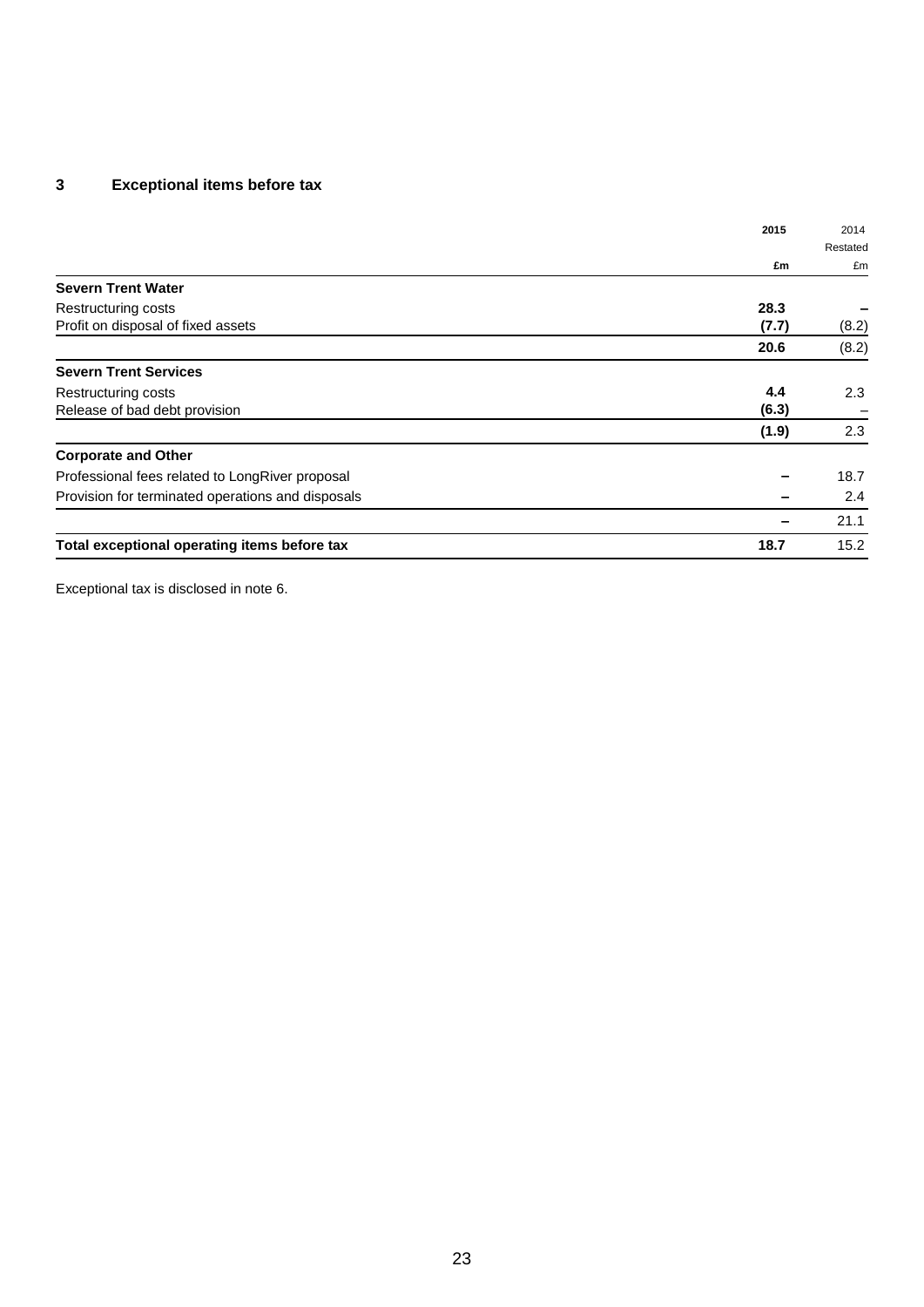## **3 Exceptional items before tax**

|                                                   | 2015  | 2014     |
|---------------------------------------------------|-------|----------|
|                                                   |       | Restated |
|                                                   | £m    | £m       |
| <b>Severn Trent Water</b>                         |       |          |
| Restructuring costs                               | 28.3  |          |
| Profit on disposal of fixed assets                | (7.7) | (8.2)    |
|                                                   | 20.6  | (8.2)    |
| <b>Severn Trent Services</b>                      |       |          |
| Restructuring costs                               | 4.4   | 2.3      |
| Release of bad debt provision                     | (6.3) | -        |
|                                                   | (1.9) | 2.3      |
| <b>Corporate and Other</b>                        |       |          |
| Professional fees related to LongRiver proposal   |       | 18.7     |
| Provision for terminated operations and disposals |       | 2.4      |
|                                                   |       | 21.1     |
| Total exceptional operating items before tax      | 18.7  | 15.2     |

Exceptional tax is disclosed in note 6.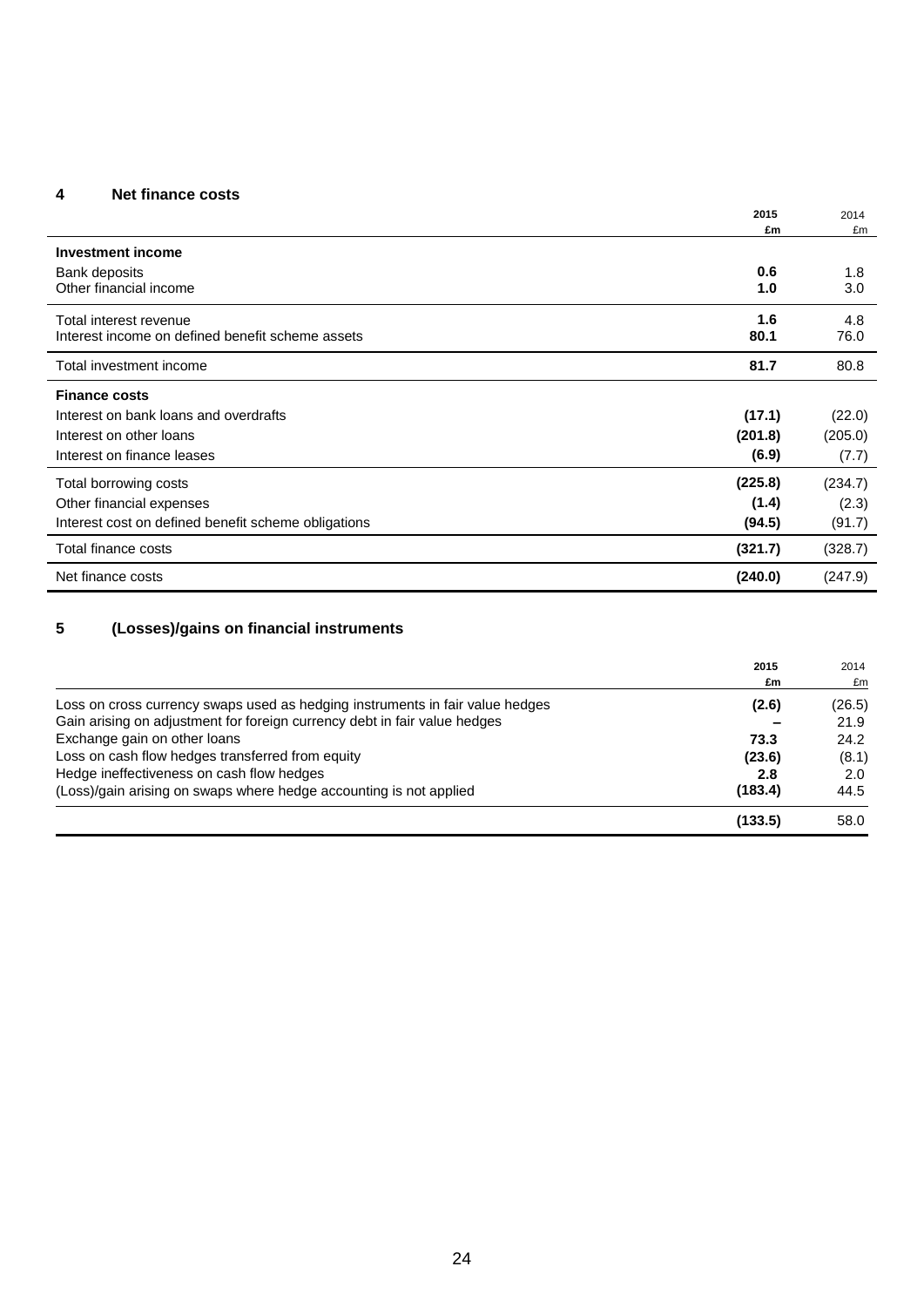## **4 Net finance costs**

|                                                     | 2015<br>£m | 2014<br>£m |
|-----------------------------------------------------|------------|------------|
| Investment income                                   |            |            |
| Bank deposits                                       | 0.6        | 1.8        |
| Other financial income                              | 1.0        | 3.0        |
| Total interest revenue                              | 1.6        | 4.8        |
| Interest income on defined benefit scheme assets    | 80.1       | 76.0       |
| Total investment income                             | 81.7       | 80.8       |
| <b>Finance costs</b>                                |            |            |
| Interest on bank loans and overdrafts               | (17.1)     | (22.0)     |
| Interest on other loans                             | (201.8)    | (205.0)    |
| Interest on finance leases                          | (6.9)      | (7.7)      |
| Total borrowing costs                               | (225.8)    | (234.7)    |
| Other financial expenses                            | (1.4)      | (2.3)      |
| Interest cost on defined benefit scheme obligations | (94.5)     | (91.7)     |
| Total finance costs                                 | (321.7)    | (328.7)    |
| Net finance costs                                   | (240.0)    | (247.9)    |

# **5 (Losses)/gains on financial instruments**

|                                                                               | 2015    | 2014   |
|-------------------------------------------------------------------------------|---------|--------|
|                                                                               | £m      | £m     |
| Loss on cross currency swaps used as hedging instruments in fair value hedges | (2.6)   | (26.5) |
| Gain arising on adjustment for foreign currency debt in fair value hedges     |         | 21.9   |
| Exchange gain on other loans                                                  | 73.3    | 24.2   |
| Loss on cash flow hedges transferred from equity                              | (23.6)  | (8.1)  |
| Hedge ineffectiveness on cash flow hedges                                     | 2.8     | 2.0    |
| (Loss)/gain arising on swaps where hedge accounting is not applied            | (183.4) | 44.5   |
|                                                                               | (133.5) | 58.0   |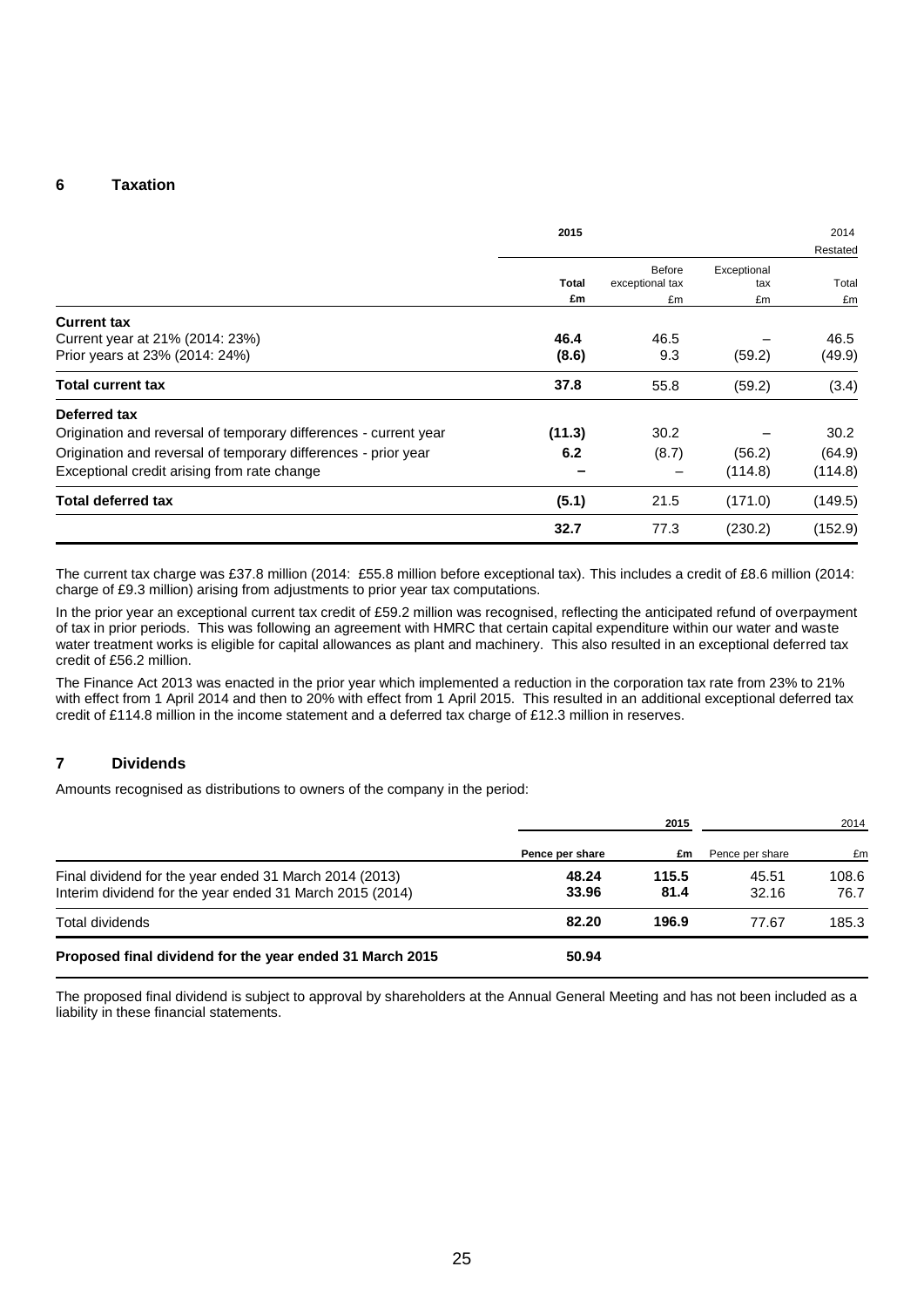#### **6 Taxation**

|                                                                  | 2015         |                                  |                    | 2014     |
|------------------------------------------------------------------|--------------|----------------------------------|--------------------|----------|
|                                                                  |              |                                  |                    | Restated |
|                                                                  | <b>Total</b> | <b>Before</b><br>exceptional tax | Exceptional<br>tax | Total    |
|                                                                  | £m           | £m                               | £m                 | £m       |
| <b>Current tax</b>                                               |              |                                  |                    |          |
| Current year at 21% (2014: 23%)                                  | 46.4         | 46.5                             |                    | 46.5     |
| Prior years at 23% (2014: 24%)                                   | (8.6)        | 9.3                              | (59.2)             | (49.9)   |
| <b>Total current tax</b>                                         | 37.8         | 55.8                             | (59.2)             | (3.4)    |
| Deferred tax                                                     |              |                                  |                    |          |
| Origination and reversal of temporary differences - current year | (11.3)       | 30.2                             |                    | 30.2     |
| Origination and reversal of temporary differences - prior year   | 6.2          | (8.7)                            | (56.2)             | (64.9)   |
| Exceptional credit arising from rate change                      |              |                                  | (114.8)            | (114.8)  |
| <b>Total deferred tax</b>                                        | (5.1)        | 21.5                             | (171.0)            | (149.5)  |
|                                                                  | 32.7         | 77.3                             | (230.2)            | (152.9)  |

The current tax charge was £37.8 million (2014: £55.8 million before exceptional tax). This includes a credit of £8.6 million (2014: charge of £9.3 million) arising from adjustments to prior year tax computations.

In the prior year an exceptional current tax credit of £59.2 million was recognised, reflecting the anticipated refund of overpayment of tax in prior periods. This was following an agreement with HMRC that certain capital expenditure within our water and waste water treatment works is eligible for capital allowances as plant and machinery. This also resulted in an exceptional deferred tax credit of £56.2 million.

The Finance Act 2013 was enacted in the prior year which implemented a reduction in the corporation tax rate from 23% to 21% with effect from 1 April 2014 and then to 20% with effect from 1 April 2015. This resulted in an additional exceptional deferred tax credit of £114.8 million in the income statement and a deferred tax charge of £12.3 million in reserves.

#### **7 Dividends**

Amounts recognised as distributions to owners of the company in the period:

|                                                                                                                    | 2015            |               | 2014            |               |
|--------------------------------------------------------------------------------------------------------------------|-----------------|---------------|-----------------|---------------|
|                                                                                                                    | Pence per share | £m            | Pence per share | £m            |
| Final dividend for the year ended 31 March 2014 (2013)<br>Interim dividend for the year ended 31 March 2015 (2014) | 48.24<br>33.96  | 115.5<br>81.4 | 45.51<br>32.16  | 108.6<br>76.7 |
| Total dividends                                                                                                    | 82.20           | 196.9         | 77.67           | 185.3         |
| Proposed final dividend for the year ended 31 March 2015                                                           | 50.94           |               |                 |               |

The proposed final dividend is subject to approval by shareholders at the Annual General Meeting and has not been included as a liability in these financial statements.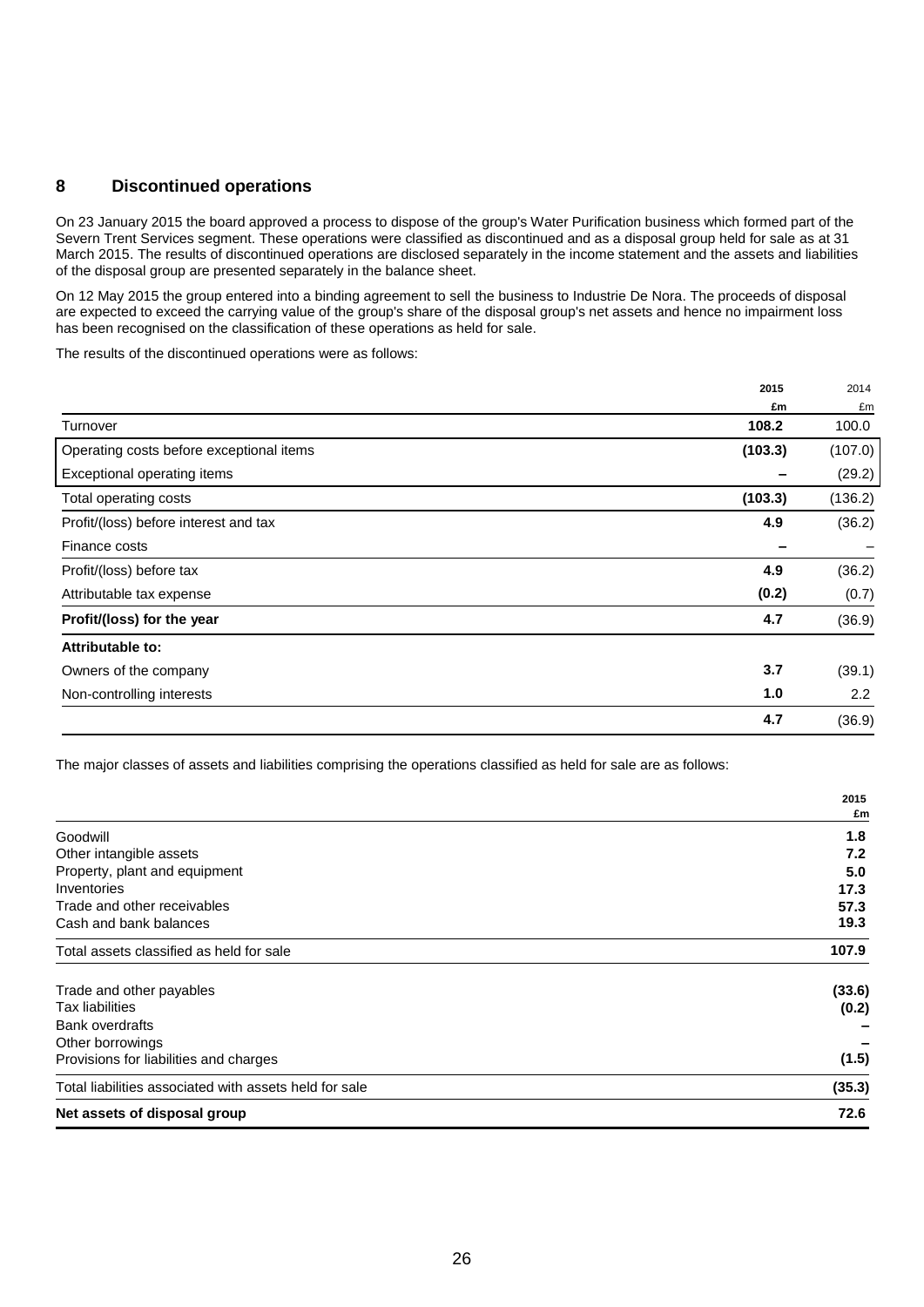## **8 Discontinued operations**

On 23 January 2015 the board approved a process to dispose of the group's Water Purification business which formed part of the Severn Trent Services segment. These operations were classified as discontinued and as a disposal group held for sale as at 31 March 2015. The results of discontinued operations are disclosed separately in the income statement and the assets and liabilities of the disposal group are presented separately in the balance sheet.

On 12 May 2015 the group entered into a binding agreement to sell the business to Industrie De Nora. The proceeds of disposal are expected to exceed the carrying value of the group's share of the disposal group's net assets and hence no impairment loss has been recognised on the classification of these operations as held for sale.

The results of the discontinued operations were as follows:

| 2015                                                | 2014    |
|-----------------------------------------------------|---------|
| £m                                                  | £m      |
| 108.2<br>Turnover                                   | 100.0   |
| (103.3)<br>Operating costs before exceptional items | (107.0) |
| Exceptional operating items                         | (29.2)  |
| (103.3)<br>Total operating costs                    | (136.2) |
| 4.9<br>Profit/(loss) before interest and tax        | (36.2)  |
| Finance costs                                       |         |
| 4.9<br>Profit/(loss) before tax                     | (36.2)  |
| (0.2)<br>Attributable tax expense                   | (0.7)   |
| 4.7<br>Profit/(loss) for the year                   | (36.9)  |
| Attributable to:                                    |         |
| 3.7<br>Owners of the company                        | (39.1)  |
| 1.0<br>Non-controlling interests                    | 2.2     |
| 4.7                                                 | (36.9)  |

The major classes of assets and liabilities comprising the operations classified as held for sale are as follows:

|                                                        | 2015   |
|--------------------------------------------------------|--------|
|                                                        | £m     |
| Goodwill                                               | 1.8    |
| Other intangible assets                                | 7.2    |
| Property, plant and equipment                          | 5.0    |
| Inventories                                            | 17.3   |
| Trade and other receivables                            | 57.3   |
| Cash and bank balances                                 | 19.3   |
| Total assets classified as held for sale               | 107.9  |
| Trade and other payables                               | (33.6) |
| <b>Tax liabilities</b>                                 | (0.2)  |
| <b>Bank overdrafts</b>                                 |        |
| Other borrowings                                       |        |
| Provisions for liabilities and charges                 | (1.5)  |
| Total liabilities associated with assets held for sale | (35.3) |
| Net assets of disposal group                           | 72.6   |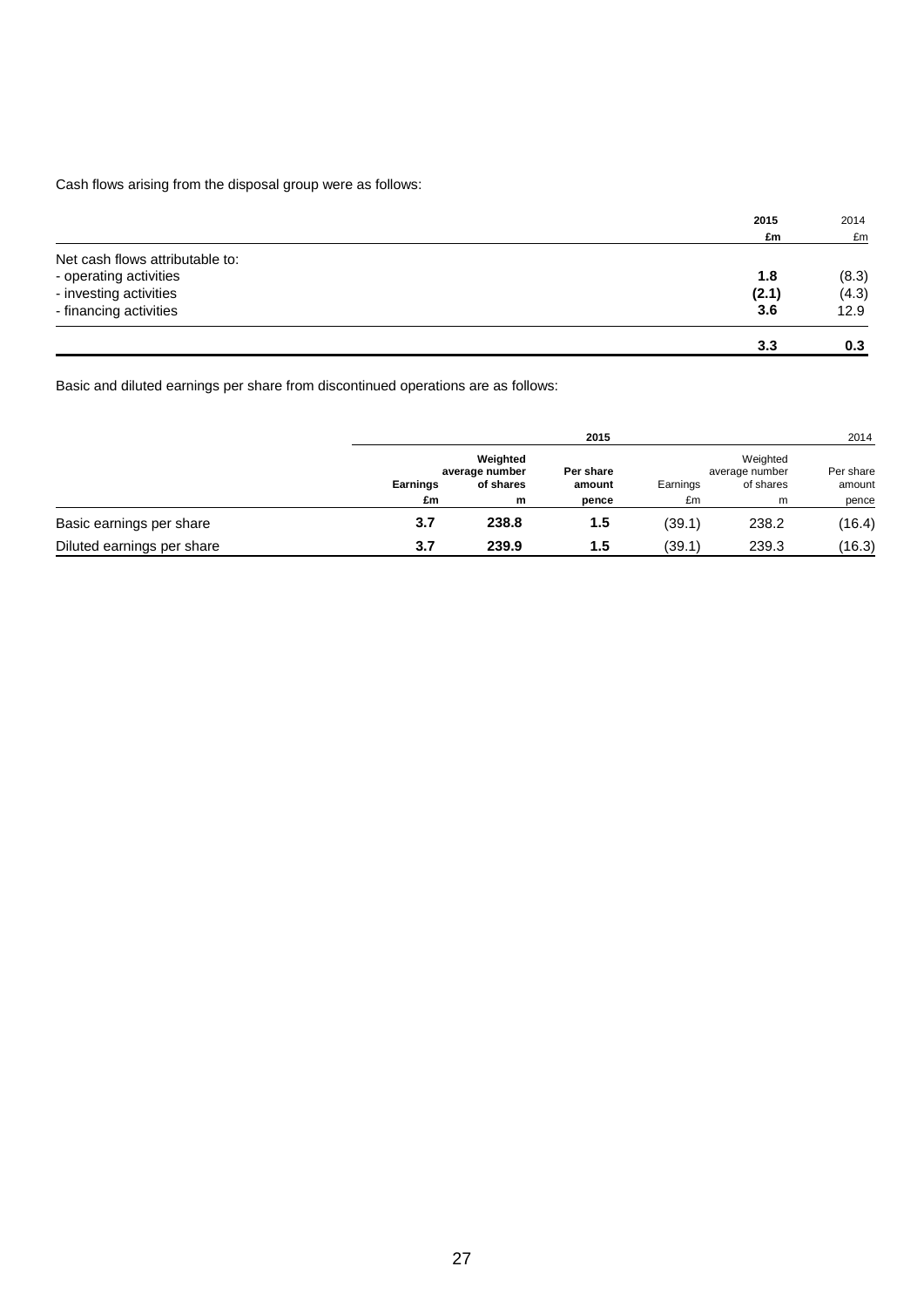Cash flows arising from the disposal group were as follows:

|                                 | 2015  | 2014  |
|---------------------------------|-------|-------|
|                                 | £m    | £m    |
| Net cash flows attributable to: |       |       |
| - operating activities          | 1.8   | (8.3) |
| - investing activities          | (2.1) | (4.3) |
| - financing activities          | 3.6   | 12.9  |
|                                 | 3.3   | 0.3   |

Basic and diluted earnings per share from discontinued operations are as follows:

|                            |                | 2015                                         |                              |                |                                              |                              |
|----------------------------|----------------|----------------------------------------------|------------------------------|----------------|----------------------------------------------|------------------------------|
|                            | Earnings<br>£m | Weighted<br>average number<br>of shares<br>m | Per share<br>amount<br>pence | Earnings<br>£m | Weighted<br>average number<br>of shares<br>m | Per share<br>amount<br>pence |
| Basic earnings per share   | 3.7            | 238.8                                        | 1.5                          | (39.1)         | 238.2                                        | (16.4)                       |
| Diluted earnings per share | 3.7            | 239.9                                        | 1.5                          | (39.1)         | 239.3                                        | (16.3)                       |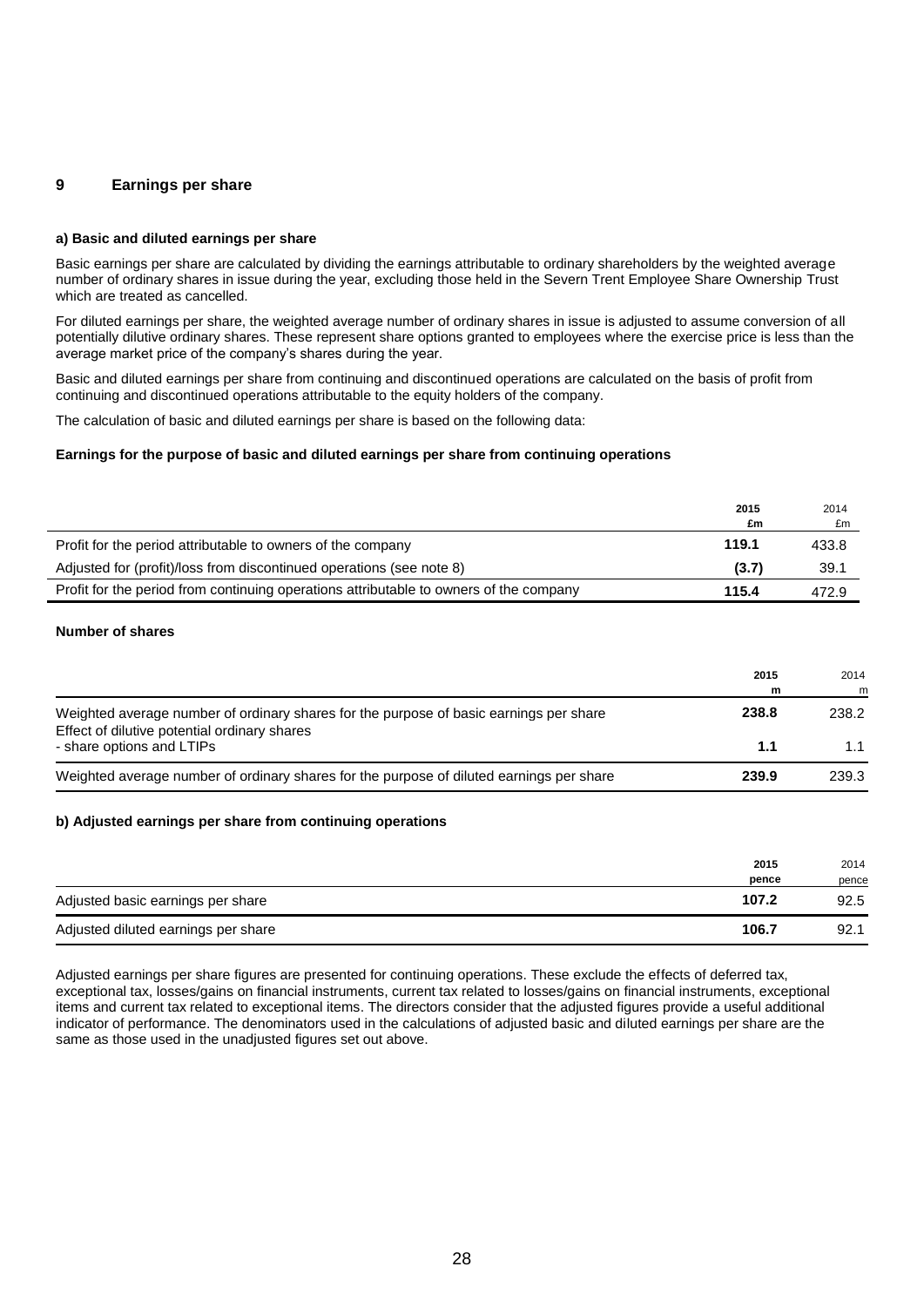#### **9 Earnings per share**

#### **a) Basic and diluted earnings per share**

Basic earnings per share are calculated by dividing the earnings attributable to ordinary shareholders by the weighted average number of ordinary shares in issue during the year, excluding those held in the Severn Trent Employee Share Ownership Trust which are treated as cancelled.

For diluted earnings per share, the weighted average number of ordinary shares in issue is adjusted to assume conversion of all potentially dilutive ordinary shares. These represent share options granted to employees where the exercise price is less than the average market price of the company's shares during the year.

Basic and diluted earnings per share from continuing and discontinued operations are calculated on the basis of profit from continuing and discontinued operations attributable to the equity holders of the company.

The calculation of basic and diluted earnings per share is based on the following data:

#### **Earnings for the purpose of basic and diluted earnings per share from continuing operations**

|                                                                                        | 2015  | 2014  |
|----------------------------------------------------------------------------------------|-------|-------|
|                                                                                        | £m    | £m    |
| Profit for the period attributable to owners of the company                            | 119.1 | 433.8 |
| Adjusted for (profit)/loss from discontinued operations (see note 8)                   | (3.7) | 39.1  |
| Profit for the period from continuing operations attributable to owners of the company | 115.4 | 472.9 |

#### **Number of shares**

|                                                                                                                                        | 2015<br>m | 2014<br>m |
|----------------------------------------------------------------------------------------------------------------------------------------|-----------|-----------|
| Weighted average number of ordinary shares for the purpose of basic earnings per share<br>Effect of dilutive potential ordinary shares | 238.8     | 238.2     |
| - share options and LTIPs                                                                                                              | 1.1       | 1.1       |
| Weighted average number of ordinary shares for the purpose of diluted earnings per share                                               | 239.9     | 239.3     |

#### **b) Adjusted earnings per share from continuing operations**

|                                     | 2015<br>pence | 2014<br>pence |
|-------------------------------------|---------------|---------------|
| Adjusted basic earnings per share   | 107.2         | 92.5          |
| Adjusted diluted earnings per share | 106.7         | 92.1          |

Adjusted earnings per share figures are presented for continuing operations. These exclude the effects of deferred tax, exceptional tax, losses/gains on financial instruments, current tax related to losses/gains on financial instruments, exceptional items and current tax related to exceptional items. The directors consider that the adjusted figures provide a useful additional indicator of performance. The denominators used in the calculations of adjusted basic and diluted earnings per share are the same as those used in the unadjusted figures set out above.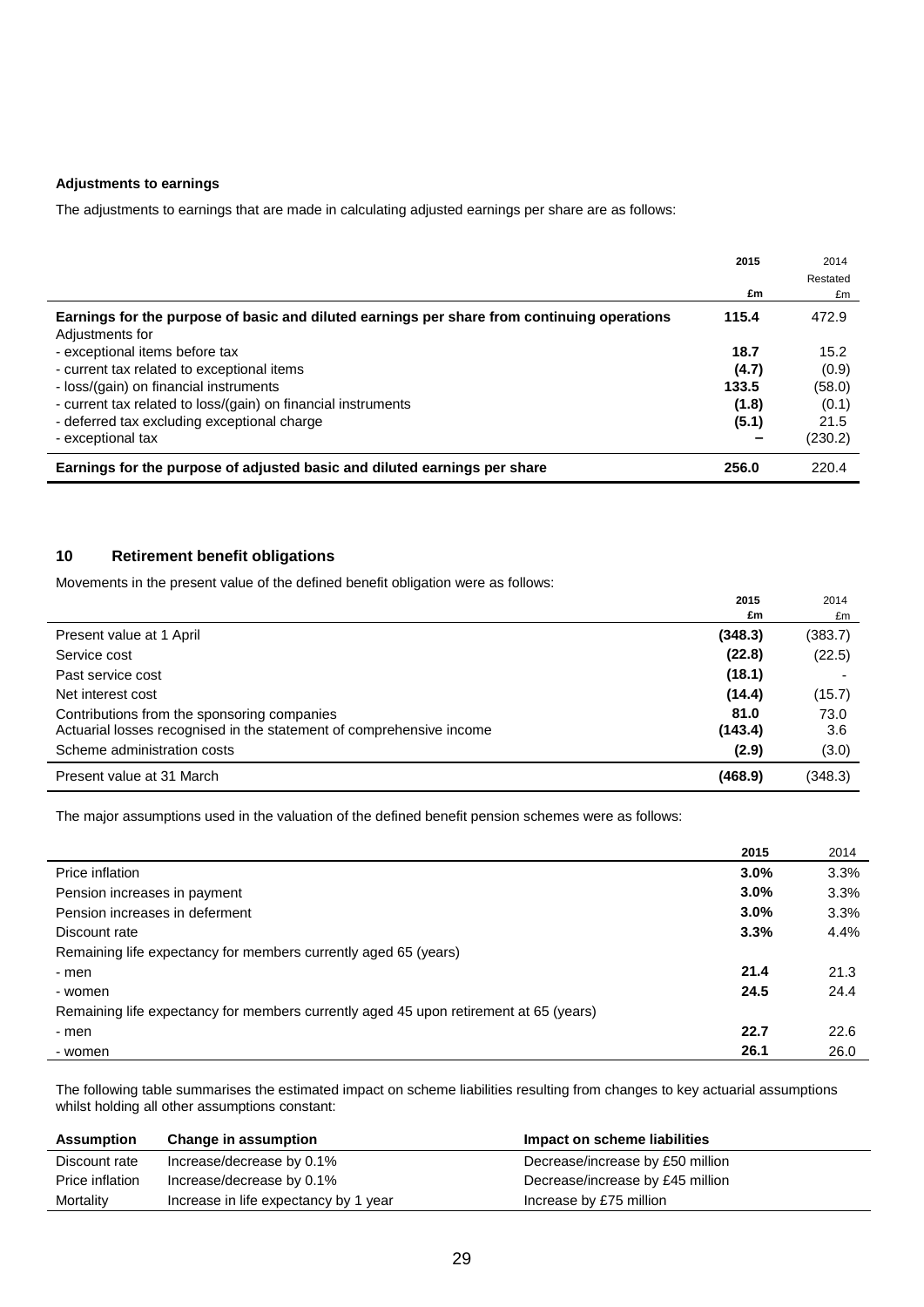#### **Adjustments to earnings**

The adjustments to earnings that are made in calculating adjusted earnings per share are as follows:

|                                                                                             | 2015  | 2014     |
|---------------------------------------------------------------------------------------------|-------|----------|
|                                                                                             |       | Restated |
|                                                                                             | £m    | £m       |
| Earnings for the purpose of basic and diluted earnings per share from continuing operations | 115.4 | 472.9    |
| Adjustments for                                                                             |       |          |
| - exceptional items before tax                                                              | 18.7  | 15.2     |
| - current tax related to exceptional items                                                  | (4.7) | (0.9)    |
| - loss/(gain) on financial instruments                                                      | 133.5 | (58.0)   |
| - current tax related to loss/(gain) on financial instruments                               | (1.8) | (0.1)    |
| - deferred tax excluding exceptional charge                                                 | (5.1) | 21.5     |
| - exceptional tax                                                                           |       | (230.2)  |
| Earnings for the purpose of adjusted basic and diluted earnings per share                   | 256.0 | 220.4    |

## **10 Retirement benefit obligations**

L

Movements in the present value of the defined benefit obligation were as follows:

|                                                                      | 2015    | 2014    |
|----------------------------------------------------------------------|---------|---------|
|                                                                      | £m      | £m      |
| Present value at 1 April                                             | (348.3) | (383.7) |
| Service cost                                                         | (22.8)  | (22.5)  |
| Past service cost                                                    | (18.1)  |         |
| Net interest cost                                                    | (14.4)  | (15.7)  |
| Contributions from the sponsoring companies                          | 81.0    | 73.0    |
| Actuarial losses recognised in the statement of comprehensive income | (143.4) | 3.6     |
| Scheme administration costs                                          | (2.9)   | (3.0)   |
| Present value at 31 March                                            | (468.9) | (348.3) |

The major assumptions used in the valuation of the defined benefit pension schemes were as follows:

|                                                                                       | 2015 | 2014 |
|---------------------------------------------------------------------------------------|------|------|
| Price inflation                                                                       | 3.0% | 3.3% |
| Pension increases in payment                                                          | 3.0% | 3.3% |
| Pension increases in deferment                                                        | 3.0% | 3.3% |
| Discount rate                                                                         | 3.3% | 4.4% |
| Remaining life expectancy for members currently aged 65 (years)                       |      |      |
| - men                                                                                 | 21.4 | 21.3 |
| - women                                                                               | 24.5 | 24.4 |
| Remaining life expectancy for members currently aged 45 upon retirement at 65 (years) |      |      |
| - men                                                                                 | 22.7 | 22.6 |
| - women                                                                               | 26.1 | 26.0 |

The following table summarises the estimated impact on scheme liabilities resulting from changes to key actuarial assumptions whilst holding all other assumptions constant:

| <b>Assumption</b> | Change in assumption                  | Impact on scheme liabilities     |
|-------------------|---------------------------------------|----------------------------------|
| Discount rate     | Increase/decrease by 0.1%             | Decrease/increase by £50 million |
| Price inflation   | Increase/decrease by 0.1%             | Decrease/increase by £45 million |
| Mortality         | Increase in life expectancy by 1 year | Increase by £75 million          |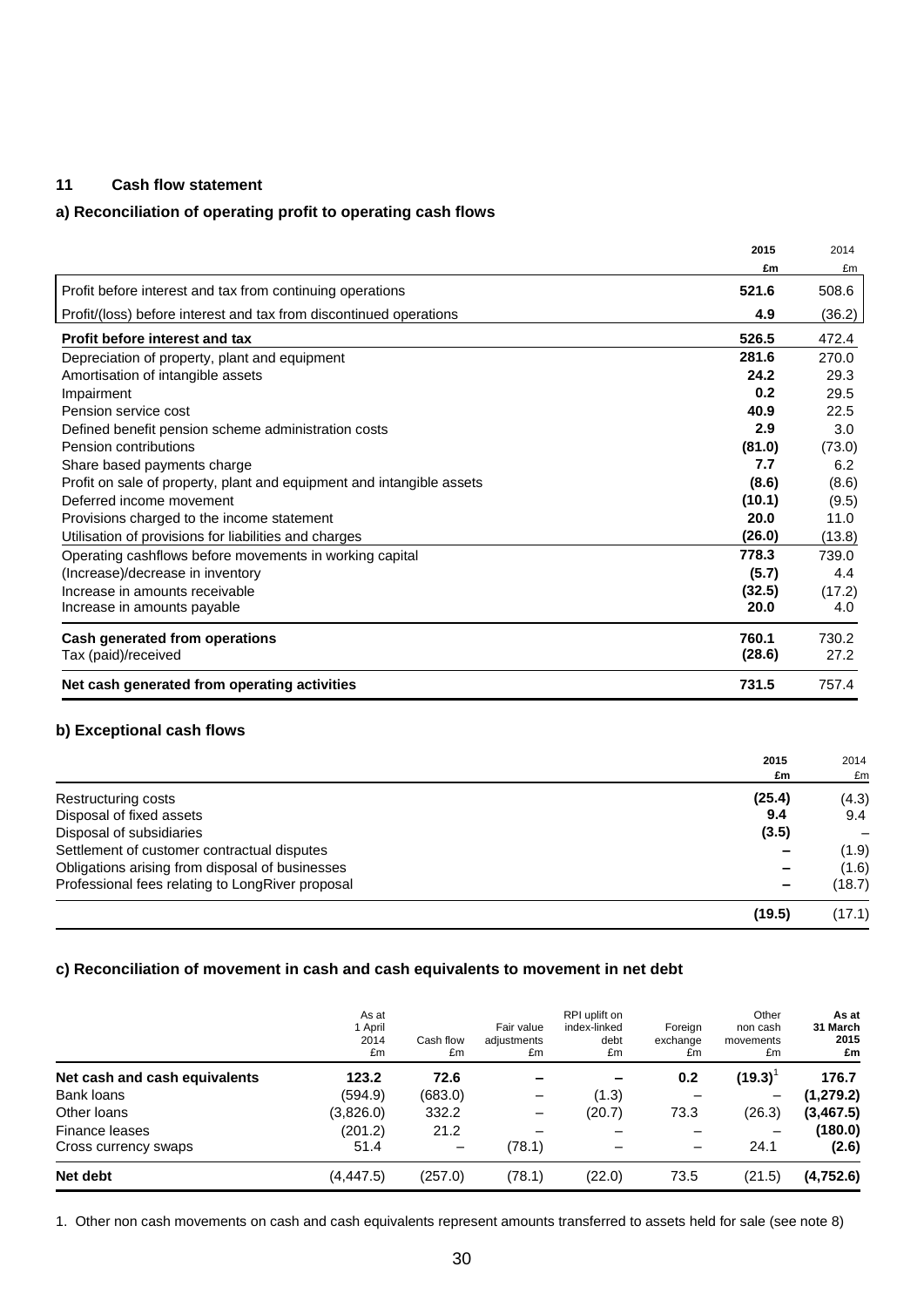## **11 Cash flow statement**

## **a) Reconciliation of operating profit to operating cash flows**

|                                                                       | 2015   | 2014   |
|-----------------------------------------------------------------------|--------|--------|
|                                                                       | £m     | £m     |
| Profit before interest and tax from continuing operations             | 521.6  | 508.6  |
| Profit/(loss) before interest and tax from discontinued operations    | 4.9    | (36.2) |
| Profit before interest and tax                                        | 526.5  | 472.4  |
| Depreciation of property, plant and equipment                         | 281.6  | 270.0  |
| Amortisation of intangible assets                                     | 24.2   | 29.3   |
| Impairment                                                            | 0.2    | 29.5   |
| Pension service cost                                                  | 40.9   | 22.5   |
| Defined benefit pension scheme administration costs                   | 2.9    | 3.0    |
| Pension contributions                                                 | (81.0) | (73.0) |
| Share based payments charge                                           | 7.7    | 6.2    |
| Profit on sale of property, plant and equipment and intangible assets | (8.6)  | (8.6)  |
| Deferred income movement                                              | (10.1) | (9.5)  |
| Provisions charged to the income statement                            | 20.0   | 11.0   |
| Utilisation of provisions for liabilities and charges                 | (26.0) | (13.8) |
| Operating cashflows before movements in working capital               | 778.3  | 739.0  |
| (Increase)/decrease in inventory                                      | (5.7)  | 4.4    |
| Increase in amounts receivable                                        | (32.5) | (17.2) |
| Increase in amounts payable                                           | 20.0   | 4.0    |
| Cash generated from operations                                        | 760.1  | 730.2  |
| Tax (paid)/received                                                   | (28.6) | 27.2   |
| Net cash generated from operating activities                          | 731.5  | 757.4  |

## **b) Exceptional cash flows**

|                                                  | 2015   | 2014   |
|--------------------------------------------------|--------|--------|
|                                                  | £m     | £m     |
| Restructuring costs                              | (25.4) | (4.3)  |
| Disposal of fixed assets                         | 9.4    | 9.4    |
| Disposal of subsidiaries                         | (3.5)  |        |
| Settlement of customer contractual disputes      |        | (1.9)  |
| Obligations arising from disposal of businesses  |        | (1.6)  |
| Professional fees relating to LongRiver proposal |        | (18.7) |
|                                                  | (19.5) | (17.1) |

## **c) Reconciliation of movement in cash and cash equivalents to movement in net debt**

|                               | As at<br>1 April<br>2014<br>£m | Cash flow<br>£m          | Fair value<br>adjustments<br>£m | RPI uplift on<br>index-linked<br>debt<br>£m | Foreian<br>exchange<br>£m    | Other<br>non cash<br>movements<br>£m | As at<br>31 March<br>2015<br>£m |
|-------------------------------|--------------------------------|--------------------------|---------------------------------|---------------------------------------------|------------------------------|--------------------------------------|---------------------------------|
| Net cash and cash equivalents | 123.2                          | 72.6                     |                                 |                                             | 0.2                          | (19.3)                               | 176.7                           |
| Bank loans                    | (594.9)                        | (683.0)                  |                                 | (1.3)                                       |                              |                                      | (1, 279.2)                      |
| Other loans                   | (3,826.0)                      | 332.2                    |                                 | (20.7)                                      | 73.3                         | (26.3)                               | (3, 467.5)                      |
| Finance leases                | (201.2)                        | 21.2                     |                                 |                                             |                              |                                      | (180.0)                         |
| Cross currency swaps          | 51.4                           | $\overline{\phantom{m}}$ | (78.1)                          |                                             | $\qquad \qquad \blacksquare$ | 24.1                                 | (2.6)                           |
| Net debt                      | (4, 447.5)                     | (257.0)                  | (78.1)                          | (22.0)                                      | 73.5                         | (21.5)                               | (4,752.6)                       |

1. Other non cash movements on cash and cash equivalents represent amounts transferred to assets held for sale (see note 8)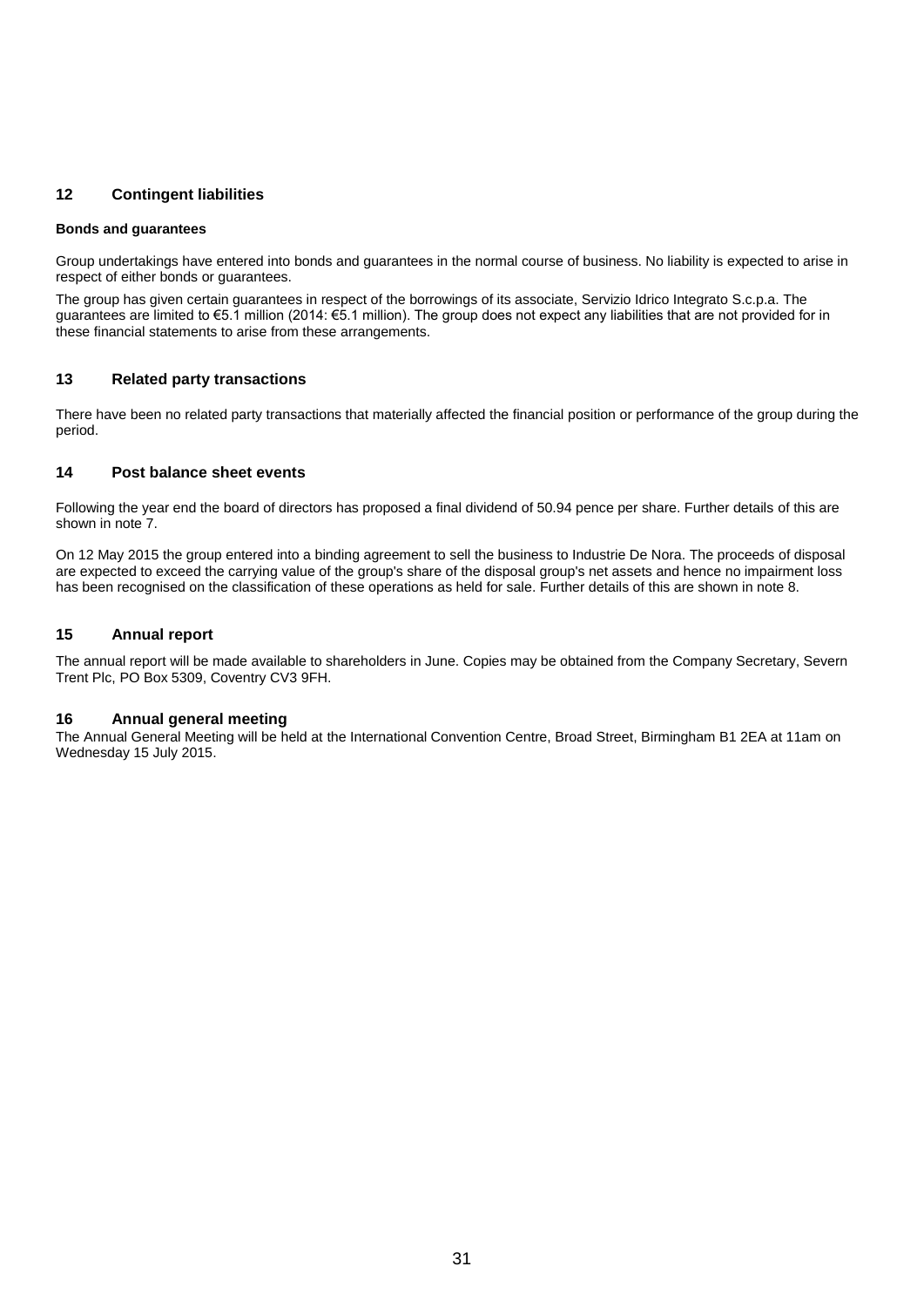## **12 Contingent liabilities**

#### **Bonds and guarantees**

Group undertakings have entered into bonds and guarantees in the normal course of business. No liability is expected to arise in respect of either bonds or guarantees.

The group has given certain guarantees in respect of the borrowings of its associate, Servizio Idrico Integrato S.c.p.a. The guarantees are limited to €5.1 million (2014: €5.1 million). The group does not expect any liabilities that are not provided for in these financial statements to arise from these arrangements.

#### **13 Related party transactions**

There have been no related party transactions that materially affected the financial position or performance of the group during the period.

## **14 Post balance sheet events**

Following the year end the board of directors has proposed a final dividend of 50.94 pence per share. Further details of this are shown in note 7.

On 12 May 2015 the group entered into a binding agreement to sell the business to Industrie De Nora. The proceeds of disposal are expected to exceed the carrying value of the group's share of the disposal group's net assets and hence no impairment loss has been recognised on the classification of these operations as held for sale. Further details of this are shown in note 8.

#### **15 Annual report**

The annual report will be made available to shareholders in June. Copies may be obtained from the Company Secretary, Severn Trent Plc, PO Box 5309, Coventry CV3 9FH.

#### **16 Annual general meeting**

The Annual General Meeting will be held at the International Convention Centre, Broad Street, Birmingham B1 2EA at 11am on Wednesday 15 July 2015.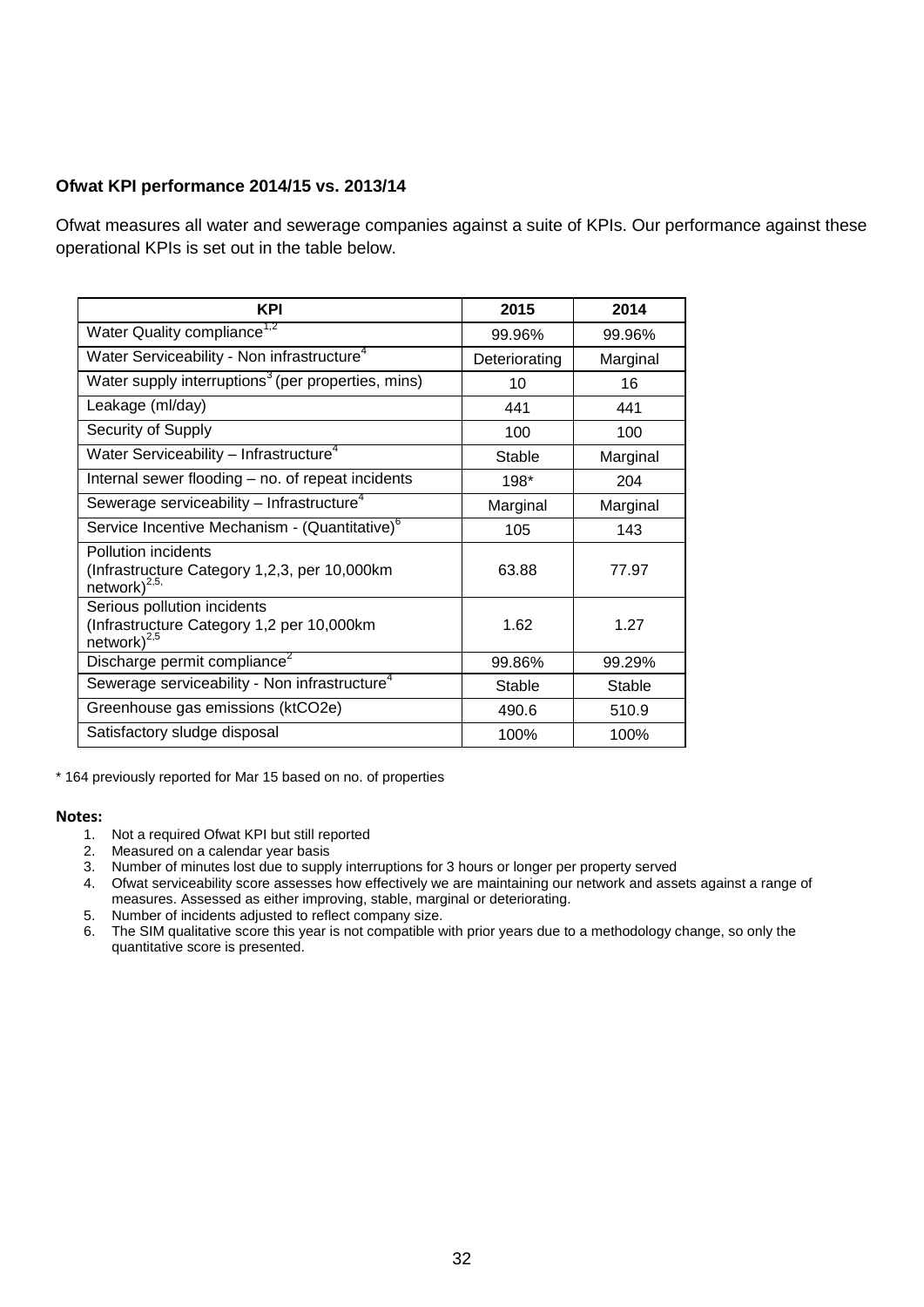# **Ofwat KPI performance 2014/15 vs. 2013/14**

Ofwat measures all water and sewerage companies against a suite of KPIs. Our performance against these operational KPIs is set out in the table below.

| KPI                                                                                           | 2015          | 2014     |
|-----------------------------------------------------------------------------------------------|---------------|----------|
| Water Quality compliance <sup>1,2</sup>                                                       | 99.96%        | 99.96%   |
| Water Serviceability - Non infrastructure <sup>4</sup>                                        | Deteriorating | Marginal |
| Water supply interruptions <sup>3</sup> (per properties, mins)                                | 10            | 16       |
| Leakage (ml/day)                                                                              | 441           | 441      |
| Security of Supply                                                                            | 100           | 100      |
| Water Serviceability - Infrastructure <sup>4</sup>                                            | Stable        | Marginal |
| Internal sewer flooding – no. of repeat incidents                                             | 198*          | 204      |
| Sewerage serviceability $-$ Infrastructure <sup>4</sup>                                       | Marginal      | Marginal |
| Service Incentive Mechanism - (Quantitative) <sup>6</sup>                                     | 105           | 143      |
| Pollution incidents<br>(Infrastructure Category 1,2,3, per 10,000km<br>network) $^{2,5}$      | 63.88         | 77.97    |
| Serious pollution incidents<br>(Infrastructure Category 1,2 per 10,000km<br>network) $^{2,5}$ | 1.62          | 1.27     |
| Discharge permit compliance <sup>2</sup>                                                      | 99.86%        | 99.29%   |
| Sewerage serviceability - Non infrastructure <sup>4</sup>                                     | Stable        | Stable   |
| Greenhouse gas emissions (ktCO2e)                                                             | 490.6         | 510.9    |
| Satisfactory sludge disposal                                                                  | 100%          | 100%     |

\* 164 previously reported for Mar 15 based on no. of properties

## **Notes:**

- 1. Not a required Ofwat KPI but still reported
- 2. Measured on a calendar year basis
- 3. Number of minutes lost due to supply interruptions for 3 hours or longer per property served
- 4. Ofwat serviceability score assesses how effectively we are maintaining our network and assets against a range of measures. Assessed as either improving, stable, marginal or deteriorating.
- 5. Number of incidents adjusted to reflect company size.
- 6. The SIM qualitative score this year is not compatible with prior years due to a methodology change, so only the quantitative score is presented.